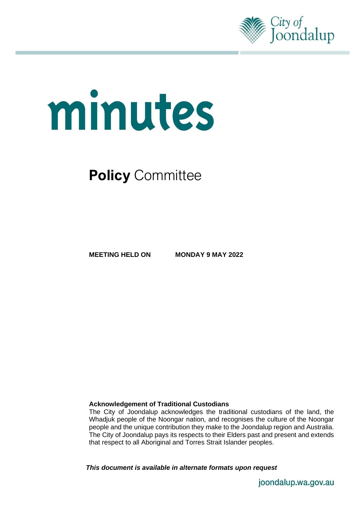

# minutes

# **Policy** Committee

**MEETING HELD ON MONDAY 9 MAY 2022**

### **Acknowledgement of Traditional Custodians**

The City of Joondalup acknowledges the traditional custodians of the land, the Whadjuk people of the Noongar nation, and recognises the culture of the Noongar people and the unique contribution they make to the Joondalup region and Australia. The City of Joondalup pays its respects to their Elders past and present and extends that respect to all Aboriginal and Torres Strait Islander peoples.

*This document is available in alternate formats upon request*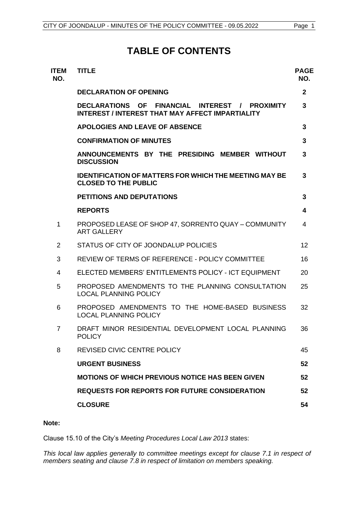# **TABLE OF CONTENTS**

| <b>ITEM</b><br>NO. | <b>TITLE</b>                                                                                              | <b>PAGE</b><br>NO. |
|--------------------|-----------------------------------------------------------------------------------------------------------|--------------------|
|                    | <b>DECLARATION OF OPENING</b>                                                                             | $\mathbf{2}$       |
|                    | DECLARATIONS OF FINANCIAL INTEREST / PROXIMITY<br><b>INTEREST / INTEREST THAT MAY AFFECT IMPARTIALITY</b> | 3                  |
|                    | <b>APOLOGIES AND LEAVE OF ABSENCE</b>                                                                     | 3                  |
|                    | <b>CONFIRMATION OF MINUTES</b>                                                                            | 3                  |
|                    | ANNOUNCEMENTS BY THE PRESIDING MEMBER WITHOUT<br><b>DISCUSSION</b>                                        | 3                  |
|                    | <b>IDENTIFICATION OF MATTERS FOR WHICH THE MEETING MAY BE</b><br><b>CLOSED TO THE PUBLIC</b>              | 3                  |
|                    | PETITIONS AND DEPUTATIONS                                                                                 | 3                  |
|                    | <b>REPORTS</b>                                                                                            | 4                  |
| 1                  | PROPOSED LEASE OF SHOP 47, SORRENTO QUAY - COMMUNITY<br><b>ART GALLERY</b>                                | 4                  |
| 2                  | STATUS OF CITY OF JOONDALUP POLICIES                                                                      | 12                 |
| 3                  | REVIEW OF TERMS OF REFERENCE - POLICY COMMITTEE                                                           | 16                 |
| 4                  | ELECTED MEMBERS' ENTITLEMENTS POLICY - ICT EQUIPMENT                                                      | 20                 |
| 5                  | PROPOSED AMENDMENTS TO THE PLANNING CONSULTATION<br><b>LOCAL PLANNING POLICY</b>                          | 25                 |
| 6                  | PROPOSED AMENDMENTS TO THE HOME-BASED BUSINESS<br><b>LOCAL PLANNING POLICY</b>                            | 32                 |
| $\overline{7}$     | DRAFT MINOR RESIDENTIAL DEVELOPMENT LOCAL PLANNING<br><b>POLICY</b>                                       | 36                 |
| 8                  | REVISED CIVIC CENTRE POLICY                                                                               | 45                 |
|                    | <b>URGENT BUSINESS</b>                                                                                    | 52                 |
|                    | <b>MOTIONS OF WHICH PREVIOUS NOTICE HAS BEEN GIVEN</b>                                                    | 52                 |
|                    | <b>REQUESTS FOR REPORTS FOR FUTURE CONSIDERATION</b>                                                      | 52                 |
|                    | <b>CLOSURE</b>                                                                                            | 54                 |
|                    |                                                                                                           |                    |

### **Note:**

Clause 15.10 of the City's *Meeting Procedures Local Law 2013* states:

*This local law applies generally to committee meetings except for clause 7.1 in respect of members seating and clause 7.8 in respect of limitation on members speaking.*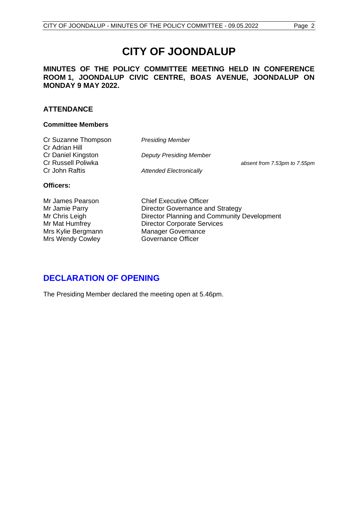# **CITY OF JOONDALUP**

### **MINUTES OF THE POLICY COMMITTEE MEETING HELD IN CONFERENCE ROOM 1, JOONDALUP CIVIC CENTRE, BOAS AVENUE, JOONDALUP ON MONDAY 9 MAY 2022.**

### **ATTENDANCE**

### **Committee Members**

**Presiding Member Deputy Presiding Member** 

**Attended Electronically** 

absent from 7.53pm to 7.55pm

# **Officers:**

Mrs Wendy Cowley **Governance Officer** 

Mr James Pearson Chief Executive Officer Mr Jamie Parry **Director Governance and Strategy** Mr Chris Leigh Director Planning and Community Development Mr Mat Humfrey Director Corporate Services Mrs Kylie Bergmann Manager Governance

# <span id="page-2-0"></span>**DECLARATION OF OPENING**

The Presiding Member declared the meeting open at 5.46pm.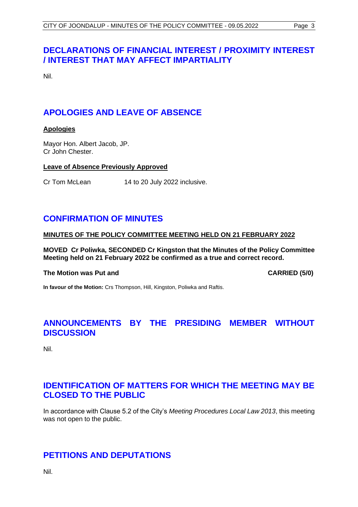# <span id="page-3-0"></span>**DECLARATIONS OF FINANCIAL INTEREST / PROXIMITY INTEREST / INTEREST THAT MAY AFFECT IMPARTIALITY**

Nil.

# <span id="page-3-1"></span>**APOLOGIES AND LEAVE OF ABSENCE**

### **Apologies**

Mayor Hon. Albert Jacob, JP. Cr John Chester.

### **Leave of Absence Previously Approved**

Cr Tom McLean 14 to 20 July 2022 inclusive.

# <span id="page-3-2"></span>**CONFIRMATION OF MINUTES**

### **MINUTES OF THE POLICY COMMITTEE MEETING HELD ON 21 FEBRUARY 2022**

**MOVED Cr Poliwka, SECONDED Cr Kingston that the Minutes of the Policy Committee Meeting held on 21 February 2022 be confirmed as a true and correct record.**

### **The Motion was Put and CARRIED (5/0)**

**In favour of the Motion:** Crs Thompson, Hill, Kingston, Poliwka and Raftis.

# <span id="page-3-3"></span>**ANNOUNCEMENTS BY THE PRESIDING MEMBER WITHOUT DISCUSSION**

Nil.

# <span id="page-3-4"></span>**IDENTIFICATION OF MATTERS FOR WHICH THE MEETING MAY BE CLOSED TO THE PUBLIC**

In accordance with Clause 5.2 of the City's *Meeting Procedures Local Law 2013*, this meeting was not open to the public.

# <span id="page-3-5"></span>**PETITIONS AND DEPUTATIONS**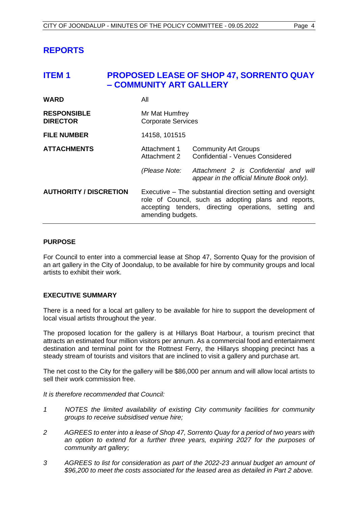# <span id="page-4-0"></span>**REPORTS**

# <span id="page-4-1"></span>**ITEM 1 PROPOSED LEASE OF SHOP 47, SORRENTO QUAY – COMMUNITY ART GALLERY**

| <b>WARD</b>                           | All                                                                                                                                                                                                    |                                                                                    |
|---------------------------------------|--------------------------------------------------------------------------------------------------------------------------------------------------------------------------------------------------------|------------------------------------------------------------------------------------|
| <b>RESPONSIBLE</b><br><b>DIRECTOR</b> | Mr Mat Humfrey<br><b>Corporate Services</b>                                                                                                                                                            |                                                                                    |
| <b>FILE NUMBER</b>                    | 14158, 101515                                                                                                                                                                                          |                                                                                    |
| <b>ATTACHMENTS</b>                    | Attachment 1<br>Attachment 2                                                                                                                                                                           | <b>Community Art Groups</b><br>Confidential - Venues Considered                    |
|                                       | (Please Note:                                                                                                                                                                                          | Attachment 2 is Confidential and will<br>appear in the official Minute Book only). |
| <b>AUTHORITY / DISCRETION</b>         | Executive – The substantial direction setting and oversight<br>role of Council, such as adopting plans and reports,<br>accepting tenders, directing operations,<br>setting<br>and<br>amending budgets. |                                                                                    |

### **PURPOSE**

For Council to enter into a commercial lease at Shop 47, Sorrento Quay for the provision of an art gallery in the City of Joondalup, to be available for hire by community groups and local artists to exhibit their work.

### **EXECUTIVE SUMMARY**

There is a need for a local art gallery to be available for hire to support the development of local visual artists throughout the year.

The proposed location for the gallery is at Hillarys Boat Harbour, a tourism precinct that attracts an estimated four million visitors per annum. As a commercial food and entertainment destination and terminal point for the Rottnest Ferry, the Hillarys shopping precinct has a steady stream of tourists and visitors that are inclined to visit a gallery and purchase art.

The net cost to the City for the gallery will be \$86,000 per annum and will allow local artists to sell their work commission free.

*It is therefore recommended that Council:*

- *1 NOTES the limited availability of existing City community facilities for community groups to receive subsidised venue hire;*
- *2 AGREES to enter into a lease of Shop 47, Sorrento Quay for a period of two years with an option to extend for a further three years, expiring 2027 for the purposes of community art gallery;*
- *3 AGREES to list for consideration as part of the 2022-23 annual budget an amount of \$96,200 to meet the costs associated for the leased area as detailed in Part 2 above.*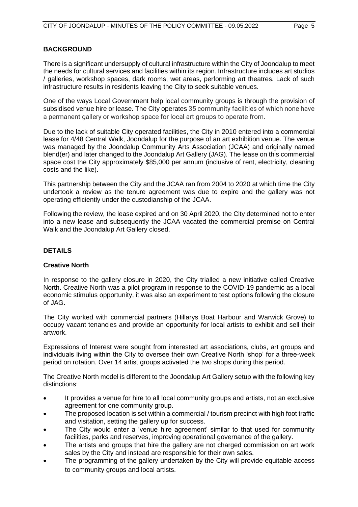### **BACKGROUND**

There is a significant undersupply of cultural infrastructure within the City of Joondalup to meet the needs for cultural services and facilities within its region. Infrastructure includes art studios / galleries, workshop spaces, dark rooms, wet areas, performing art theatres. Lack of such infrastructure results in residents leaving the City to seek suitable venues.

One of the ways Local Government help local community groups is through the provision of subsidised venue hire or lease. The City operates 35 community facilities of which none have a permanent gallery or workshop space for local art groups to operate from.

Due to the lack of suitable City operated facilities, the City in 2010 entered into a commercial lease for 4/48 Central Walk, Joondalup for the purpose of an art exhibition venue. The venue was managed by the Joondalup Community Arts Association (JCAA) and originally named blend(er) and later changed to the Joondalup Art Gallery (JAG). The lease on this commercial space cost the City approximately \$85,000 per annum (inclusive of rent, electricity, cleaning costs and the like).

This partnership between the City and the JCAA ran from 2004 to 2020 at which time the City undertook a review as the tenure agreement was due to expire and the gallery was not operating efficiently under the custodianship of the JCAA.

Following the review, the lease expired and on 30 April 2020, the City determined not to enter into a new lease and subsequently the JCAA vacated the commercial premise on Central Walk and the Joondalup Art Gallery closed.

### **DETAILS**

### **Creative North**

In response to the gallery closure in 2020, the City trialled a new initiative called Creative North. Creative North was a pilot program in response to the COVID-19 pandemic as a local economic stimulus opportunity, it was also an experiment to test options following the closure of JAG.

The City worked with commercial partners (Hillarys Boat Harbour and Warwick Grove) to occupy vacant tenancies and provide an opportunity for local artists to exhibit and sell their artwork.

Expressions of Interest were sought from interested art associations, clubs, art groups and individuals living within the City to oversee their own Creative North 'shop' for a three-week period on rotation. Over 14 artist groups activated the two shops during this period.

The Creative North model is different to the Joondalup Art Gallery setup with the following key distinctions:

- It provides a venue for hire to all local community groups and artists, not an exclusive agreement for one community group.
- The proposed location is set within a commercial / tourism precinct with high foot traffic and visitation, setting the gallery up for success.
- The City would enter a 'venue hire agreement' similar to that used for community facilities, parks and reserves, improving operational governance of the gallery.
- The artists and groups that hire the gallery are not charged commission on art work sales by the City and instead are responsible for their own sales.
- The programming of the gallery undertaken by the City will provide equitable access to community groups and local artists.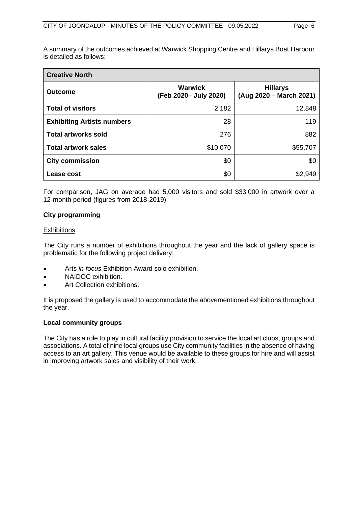A summary of the outcomes achieved at Warwick Shopping Centre and Hillarys Boat Harbour is detailed as follows:

| <b>Creative North</b>             |                                         |                                            |  |
|-----------------------------------|-----------------------------------------|--------------------------------------------|--|
| <b>Outcome</b>                    | <b>Warwick</b><br>(Feb 2020- July 2020) | <b>Hillarys</b><br>(Aug 2020 – March 2021) |  |
| <b>Total of visitors</b>          | 2,182                                   | 12,848                                     |  |
| <b>Exhibiting Artists numbers</b> | 28                                      | 119                                        |  |
| <b>Total artworks sold</b>        | 276                                     | 882                                        |  |
| <b>Total artwork sales</b>        | \$10,070                                | \$55,707                                   |  |
| <b>City commission</b>            | \$0                                     | \$0                                        |  |
| Lease cost                        | \$0                                     | \$2,949                                    |  |

For comparison, JAG on average had 5,000 visitors and sold \$33,000 in artwork over a 12-month period (figures from 2018-2019).

### **City programming**

### **Exhibitions**

The City runs a number of exhibitions throughout the year and the lack of gallery space is problematic for the following project delivery:

- Arts *in focus* Exhibition Award solo exhibition.
- NAIDOC exhibition.
- Art Collection exhibitions.

It is proposed the gallery is used to accommodate the abovementioned exhibitions throughout the year.

### **Local community groups**

The City has a role to play in cultural facility provision to service the local art clubs, groups and associations. A total of nine local groups use City community facilities in the absence of having access to an art gallery. This venue would be available to these groups for hire and will assist in improving artwork sales and visibility of their work.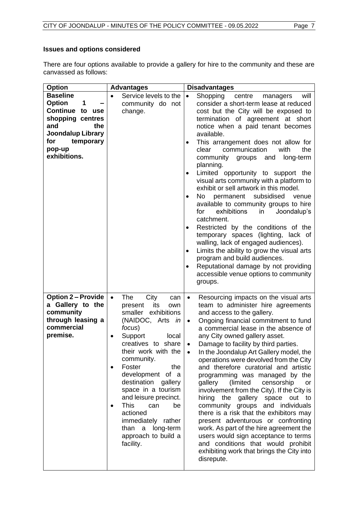# **Issues and options considered**

There are four options available to provide a gallery for hire to the community and these are canvassed as follows:

| <b>Option</b>             | <b>Advantages</b>                       | <b>Disadvantages</b>                                                                  |
|---------------------------|-----------------------------------------|---------------------------------------------------------------------------------------|
| <b>Baseline</b>           | Service levels to the                   | Shopping<br>$\bullet$<br>centre<br>will<br>managers                                   |
| <b>Option</b><br>1        | community do not                        | consider a short-term lease at reduced                                                |
| Continue to use           | change.                                 | cost but the City will be exposed to                                                  |
| shopping centres          |                                         | termination of agreement at short                                                     |
| the<br>and                |                                         | notice when a paid tenant becomes                                                     |
| <b>Joondalup Library</b>  |                                         | available.                                                                            |
| for<br>temporary          |                                         | This arrangement does not allow for<br>٠                                              |
| pop-up                    |                                         | clear<br>communication<br>with<br>the                                                 |
| exhibitions.              |                                         | community<br>groups<br>and<br>long-term                                               |
|                           |                                         | planning.                                                                             |
|                           |                                         | Limited opportunity to support the                                                    |
|                           |                                         | visual arts community with a platform to                                              |
|                           |                                         | exhibit or sell artwork in this model.                                                |
|                           |                                         | No.<br>subsidised<br>permanent<br>venue<br>$\bullet$                                  |
|                           |                                         | available to community groups to hire<br>exhibitions<br>Joondalup's<br>for<br>in      |
|                           |                                         | catchment.                                                                            |
|                           |                                         | Restricted by the conditions of the                                                   |
|                           |                                         | temporary spaces (lighting, lack of                                                   |
|                           |                                         | walling, lack of engaged audiences).                                                  |
|                           |                                         | Limits the ability to grow the visual arts<br>٠                                       |
|                           |                                         | program and build audiences.                                                          |
|                           |                                         | Reputational damage by not providing<br>$\bullet$                                     |
|                           |                                         | accessible venue options to community                                                 |
|                           |                                         | groups.                                                                               |
|                           |                                         |                                                                                       |
| <b>Option 2 – Provide</b> | <b>The</b><br>City<br>$\bullet$<br>can  | Resourcing impacts on the visual arts<br>$\bullet$                                    |
| a Gallery to the          | its<br>present<br>own                   | team to administer hire agreements                                                    |
| community                 | smaller exhibitions                     | and access to the gallery.                                                            |
| through leasing a         | (NAIDOC, Arts in                        | Ongoing financial commitment to fund<br>$\bullet$                                     |
| commercial                | focus)                                  | a commercial lease in the absence of                                                  |
| premise.                  | Support<br>local<br>$\bullet$           | any City owned gallery asset.                                                         |
|                           | creatives to share                      | Damage to facility by third parties.<br>$\bullet$                                     |
|                           | their work with the                     | In the Joondalup Art Gallery model, the                                               |
|                           | community.                              | operations were devolved from the City                                                |
|                           | Foster<br>the<br>$\bullet$              | and therefore curatorial and artistic                                                 |
|                           | development of a<br>destination gallery | programming was managed by the                                                        |
|                           | space in a tourism                      | gallery<br>(limited<br>censorship<br>or<br>involvement from the City). If the City is |
|                           | and leisure precinct.                   | hiring the gallery space out<br>to                                                    |
|                           | <b>This</b><br>be<br>can                | community groups and individuals                                                      |
|                           | actioned                                | there is a risk that the exhibitors may                                               |
|                           | immediately rather                      | present adventurous or confronting                                                    |
|                           | a long-term<br>than                     | work. As part of the hire agreement the                                               |
|                           | approach to build a                     | users would sign acceptance to terms                                                  |
|                           | facility.                               | and conditions that would prohibit                                                    |
|                           |                                         | exhibiting work that brings the City into                                             |
|                           |                                         | disrepute.                                                                            |
|                           |                                         |                                                                                       |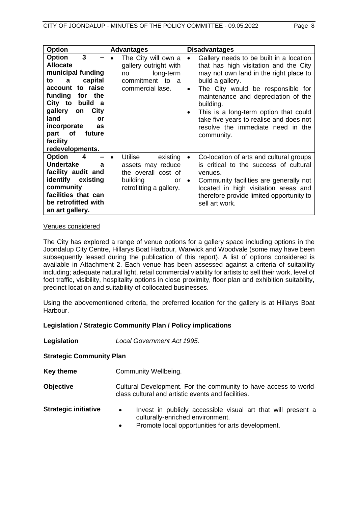| <b>Option</b>                                                                                                                                                                                                                                              | <b>Advantages</b>                                                                                                   | <b>Disadvantages</b>                                                                                                                                                                                                                                                                                                                                                                                                  |
|------------------------------------------------------------------------------------------------------------------------------------------------------------------------------------------------------------------------------------------------------------|---------------------------------------------------------------------------------------------------------------------|-----------------------------------------------------------------------------------------------------------------------------------------------------------------------------------------------------------------------------------------------------------------------------------------------------------------------------------------------------------------------------------------------------------------------|
| 3<br><b>Option</b><br><b>Allocate</b><br>municipal funding<br>capital<br>to a<br>account to raise<br>the<br>funding for<br>City to build a<br>City<br>gallery<br>on<br>land<br>or<br>incorporate<br>as<br>future<br>part of<br>facility<br>redevelopments. | The City will own a<br>gallery outright with<br>long-term<br>no<br>commitment to a<br>commercial lase.              | Gallery needs to be built in a location<br>$\bullet$<br>that has high visitation and the City<br>may not own land in the right place to<br>build a gallery.<br>The City would be responsible for<br>$\bullet$<br>maintenance and depreciation of the<br>building.<br>This is a long-term option that could<br>$\bullet$<br>take five years to realise and does not<br>resolve the immediate need in the<br>community. |
| <b>Option</b><br>4<br><b>Undertake</b><br>a<br>facility audit and<br>identify existing<br>community<br>facilities that can<br>be retrofitted with<br>an art gallery.                                                                                       | Utilise<br>existing<br>assets may reduce<br>the overall cost of<br>building<br><b>or</b><br>retrofitting a gallery. | Co-location of arts and cultural groups<br>$\bullet$<br>is critical to the success of cultural<br>venues.<br>Community facilities are generally not<br>$\bullet$<br>located in high visitation areas and<br>therefore provide limited opportunity to<br>sell art work.                                                                                                                                                |

### Venues considered

The City has explored a range of venue options for a gallery space including options in the Joondalup City Centre, Hillarys Boat Harbour, Warwick and Woodvale (some may have been subsequently leased during the publication of this report). A list of options considered is available in Attachment 2. Each venue has been assessed against a criteria of suitability including; adequate natural light, retail commercial viability for artists to sell their work, level of foot traffic, visibility, hospitality options in close proximity, floor plan and exhibition suitability, precinct location and suitability of collocated businesses.

Using the abovementioned criteria, the preferred location for the gallery is at Hillarys Boat Harbour.

### **Legislation / Strategic Community Plan / Policy implications**

**Legislation** *Local Government Act 1995.*

**Strategic Community Plan**

**Key theme Community Wellbeing.** 

**Objective Cultural Development. For the community to have access to world**class cultural and artistic events and facilities.

- **Strategic initiative •** Invest in publicly accessible visual art that will present a culturally-enriched environment.
	- Promote local opportunities for arts development.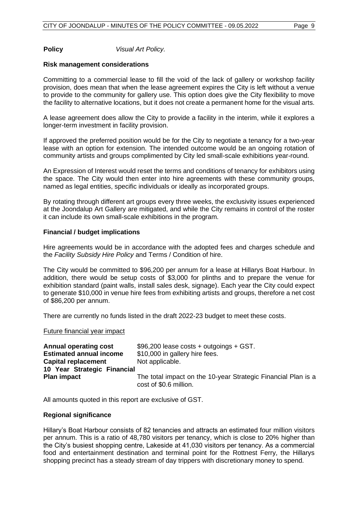**Policy** *Visual Art Policy.*

### **Risk management considerations**

Committing to a commercial lease to fill the void of the lack of gallery or workshop facility provision, does mean that when the lease agreement expires the City is left without a venue to provide to the community for gallery use. This option does give the City flexibility to move the facility to alternative locations, but it does not create a permanent home for the visual arts.

A lease agreement does allow the City to provide a facility in the interim, while it explores a longer-term investment in facility provision.

If approved the preferred position would be for the City to negotiate a tenancy for a two-year lease with an option for extension. The intended outcome would be an ongoing rotation of community artists and groups complimented by City led small-scale exhibitions year-round.

An Expression of Interest would reset the terms and conditions of tenancy for exhibitors using the space. The City would then enter into hire agreements with these community groups, named as legal entities, specific individuals or ideally as incorporated groups.

By rotating through different art groups every three weeks, the exclusivity issues experienced at the Joondalup Art Gallery are mitigated, and while the City remains in control of the roster it can include its own small-scale exhibitions in the program.

### **Financial / budget implications**

Hire agreements would be in accordance with the adopted fees and charges schedule and the *Facility Subsidy Hire Policy* and Terms / Condition of hire.

The City would be committed to \$96,200 per annum for a lease at Hillarys Boat Harbour. In addition, there would be setup costs of \$3,000 for plinths and to prepare the venue for exhibition standard (paint walls, install sales desk, signage). Each year the City could expect to generate \$10,000 in venue hire fees from exhibiting artists and groups, therefore a net cost of \$86,200 per annum.

There are currently no funds listed in the draft 2022-23 budget to meet these costs.

### Future financial year impact

| <b>Annual operating cost</b>   | $$96,200$ lease costs + outgoings + GST.                      |
|--------------------------------|---------------------------------------------------------------|
| <b>Estimated annual income</b> | \$10,000 in gallery hire fees.                                |
| <b>Capital replacement</b>     | Not applicable.                                               |
| 10 Year Strategic Financial    | The total impact on the 10-year Strategic Financial Plan is a |
| <b>Plan impact</b>             | cost of \$0.6 million.                                        |

All amounts quoted in this report are exclusive of GST.

### **Regional significance**

Hillary's Boat Harbour consists of 82 tenancies and attracts an estimated four million visitors per annum. This is a ratio of 48,780 visitors per tenancy, which is close to 20% higher than the City's busiest shopping centre, Lakeside at 41,030 visitors per tenancy. As a commercial food and entertainment destination and terminal point for the Rottnest Ferry, the Hillarys shopping precinct has a steady stream of day trippers with discretionary money to spend.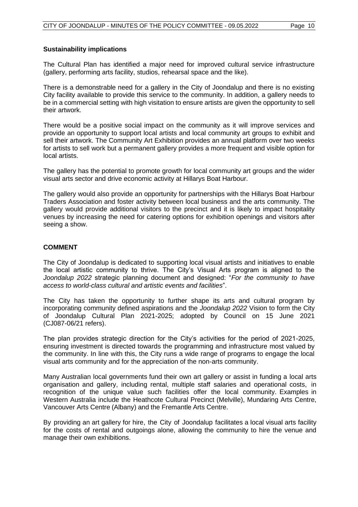### **Sustainability implications**

The Cultural Plan has identified a major need for improved cultural service infrastructure (gallery, performing arts facility, studios, rehearsal space and the like).

There is a demonstrable need for a gallery in the City of Joondalup and there is no existing City facility available to provide this service to the community. In addition, a gallery needs to be in a commercial setting with high visitation to ensure artists are given the opportunity to sell their artwork.

There would be a positive social impact on the community as it will improve services and provide an opportunity to support local artists and local community art groups to exhibit and sell their artwork. The Community Art Exhibition provides an annual platform over two weeks for artists to sell work but a permanent gallery provides a more frequent and visible option for local artists.

The gallery has the potential to promote growth for local community art groups and the wider visual arts sector and drive economic activity at Hillarys Boat Harbour.

The gallery would also provide an opportunity for partnerships with the Hillarys Boat Harbour Traders Association and foster activity between local business and the arts community. The gallery would provide additional visitors to the precinct and it is likely to impact hospitality venues by increasing the need for catering options for exhibition openings and visitors after seeing a show.

### **COMMENT**

The City of Joondalup is dedicated to supporting local visual artists and initiatives to enable the local artistic community to thrive. The City's Visual Arts program is aligned to the *Joondalup 2022* strategic planning document and designed: "*For the community to have access to world-class cultural and artistic events and facilities*".

The City has taken the opportunity to further shape its arts and cultural program by incorporating community defined aspirations and the *Joondalup 2022* Vision to form the City of Joondalup Cultural Plan 2021-2025; adopted by Council on 15 June 2021 (CJ087-06/21 refers).

The plan provides strategic direction for the City's activities for the period of 2021-2025, ensuring investment is directed towards the programming and infrastructure most valued by the community. In line with this, the City runs a wide range of programs to engage the local visual arts community and for the appreciation of the non-arts community.

Many Australian local governments fund their own art gallery or assist in funding a local arts organisation and gallery, including rental, multiple staff salaries and operational costs, in recognition of the unique value such facilities offer the local community. Examples in Western Australia include the Heathcote Cultural Precinct (Melville), Mundaring Arts Centre, Vancouver Arts Centre (Albany) and the Fremantle Arts Centre.

By providing an art gallery for hire, the City of Joondalup facilitates a local visual arts facility for the costs of rental and outgoings alone, allowing the community to hire the venue and manage their own exhibitions.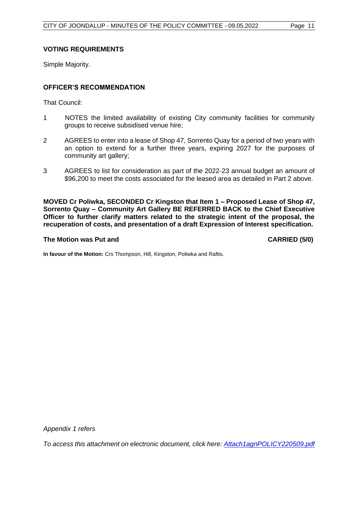### **VOTING REQUIREMENTS**

Simple Majority.

### **OFFICER'S RECOMMENDATION**

That Council:

- 1 NOTES the limited availability of existing City community facilities for community groups to receive subsidised venue hire;
- 2 AGREES to enter into a lease of Shop 47, Sorrento Quay for a period of two years with an option to extend for a further three years, expiring 2027 for the purposes of community art gallery;
- 3 AGREES to list for consideration as part of the 2022-23 annual budget an amount of \$96,200 to meet the costs associated for the leased area as detailed in Part 2 above.

**MOVED Cr Poliwka, SECONDED Cr Kingston that Item 1 – Proposed Lease of Shop 47, Sorrento Quay – Community Art Gallery BE REFERRED BACK to the Chief Executive Officer to further clarify matters related to the strategic intent of the proposal, the recuperation of costs, and presentation of a draft Expression of Interest specification.**

### **The Motion was Put and CARRIED (5/0)**

**In favour of the Motion:** Crs Thompson, Hill, Kingston, Poliwka and Raftis.

*Appendix 1 refers*

*To access this attachment on electronic document, click he[re: Attach1agnPOLICY220509.pdf](http://www.joondalup.wa.gov.au/files/committees/POLI/2022/Attach1agnPOLICY220509.pdf)*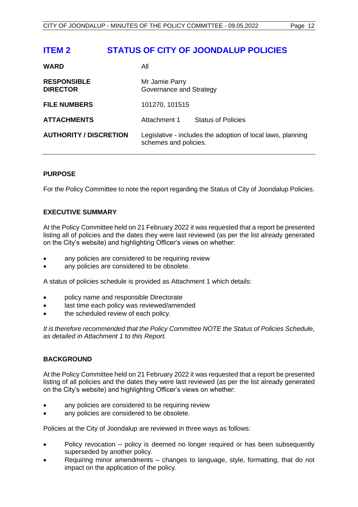# <span id="page-12-0"></span>**ITEM 2 STATUS OF CITY OF JOONDALUP POLICIES**

| <b>WARD</b>                           | All                                       |                                                             |
|---------------------------------------|-------------------------------------------|-------------------------------------------------------------|
| <b>RESPONSIBLE</b><br><b>DIRECTOR</b> | Mr Jamie Parry<br>Governance and Strategy |                                                             |
| <b>FILE NUMBERS</b>                   | 101270, 101515                            |                                                             |
| <b>ATTACHMENTS</b>                    | Attachment 1                              | <b>Status of Policies</b>                                   |
| <b>AUTHORITY / DISCRETION</b>         | schemes and policies.                     | Legislative - includes the adoption of local laws, planning |

### **PURPOSE**

For the Policy Committee to note the report regarding the Status of City of Joondalup Policies.

### **EXECUTIVE SUMMARY**

At the Policy Committee held on 21 February 2022 it was requested that a report be presented listing all of policies and the dates they were last reviewed (as per the list already generated on the City's website) and highlighting Officer's views on whether:

- any policies are considered to be requiring review
- any policies are considered to be obsolete.

A status of policies schedule is provided as Attachment 1 which details:

- policy name and responsible Directorate
- last time each policy was reviewed/amended
- the scheduled review of each policy.

*It is therefore recommended that the Policy Committee NOTE the Status of Policies Schedule, as detailed in Attachment 1 to this Report.*

### **BACKGROUND**

At the Policy Committee held on 21 February 2022 it was requested that a report be presented listing of all policies and the dates they were last reviewed (as per the list already generated on the City's website) and highlighting Officer's views on whether:

- any policies are considered to be requiring review
- any policies are considered to be obsolete.

Policies at the City of Joondalup are reviewed in three ways as follows:

- Policy revocation policy is deemed no longer required or has been subsequently superseded by another policy.
- Requiring minor amendments changes to language, style, formatting, that do not impact on the application of the policy.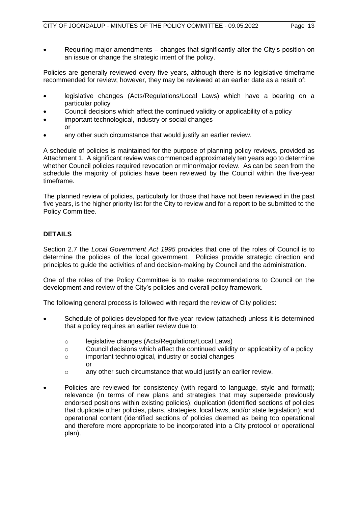• Requiring major amendments – changes that significantly alter the City's position on an issue or change the strategic intent of the policy.

Policies are generally reviewed every five years, although there is no legislative timeframe recommended for review; however, they may be reviewed at an earlier date as a result of:

- legislative changes (Acts/Regulations/Local Laws) which have a bearing on a particular policy
- Council decisions which affect the continued validity or applicability of a policy
- important technological, industry or social changes or
- any other such circumstance that would justify an earlier review.

A schedule of policies is maintained for the purpose of planning policy reviews, provided as Attachment 1. A significant review was commenced approximately ten years ago to determine whether Council policies required revocation or minor/major review. As can be seen from the schedule the majority of policies have been reviewed by the Council within the five-year timeframe.

The planned review of policies, particularly for those that have not been reviewed in the past five years, is the higher priority list for the City to review and for a report to be submitted to the Policy Committee.

### **DETAILS**

Section 2.7 the *Local Government Act 1995* provides that one of the roles of Council is to determine the policies of the local government. Policies provide strategic direction and principles to guide the activities of and decision-making by Council and the administration.

One of the roles of the Policy Committee is to make recommendations to Council on the development and review of the City's policies and overall policy framework.

The following general process is followed with regard the review of City policies:

- Schedule of policies developed for five-year review (attached) unless it is determined that a policy requires an earlier review due to:
	- o legislative changes (Acts/Regulations/Local Laws)
	- $\circ$  Council decisions which affect the continued validity or applicability of a policy
	- o important technological, industry or social changes or
	- o any other such circumstance that would justify an earlier review.
- Policies are reviewed for consistency (with regard to language, style and format); relevance (in terms of new plans and strategies that may supersede previously endorsed positions within existing policies); duplication (identified sections of policies that duplicate other policies, plans, strategies, local laws, and/or state legislation); and operational content (identified sections of policies deemed as being too operational and therefore more appropriate to be incorporated into a City protocol or operational plan).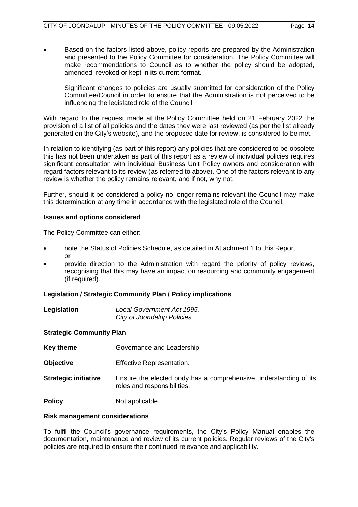• Based on the factors listed above, policy reports are prepared by the Administration and presented to the Policy Committee for consideration. The Policy Committee will make recommendations to Council as to whether the policy should be adopted, amended, revoked or kept in its current format.

Significant changes to policies are usually submitted for consideration of the Policy Committee/Council in order to ensure that the Administration is not perceived to be influencing the legislated role of the Council.

With regard to the request made at the Policy Committee held on 21 February 2022 the provision of a list of all policies and the dates they were last reviewed (as per the list already generated on the City's website), and the proposed date for review, is considered to be met.

In relation to identifying (as part of this report) any policies that are considered to be obsolete this has not been undertaken as part of this report as a review of individual policies requires significant consultation with individual Business Unit Policy owners and consideration with regard factors relevant to its review (as referred to above). One of the factors relevant to any review is whether the policy remains relevant, and if not, why not.

Further, should it be considered a policy no longer remains relevant the Council may make this determination at any time in accordance with the legislated role of the Council.

### **Issues and options considered**

The Policy Committee can either:

- note the Status of Policies Schedule, as detailed in Attachment 1 to this Report or
- provide direction to the Administration with regard the priority of policy reviews, recognising that this may have an impact on resourcing and community engagement (if required).

### **Legislation / Strategic Community Plan / Policy implications**

| Legislation | Local Government Act 1995.  |
|-------------|-----------------------------|
|             | City of Joondalup Policies. |

### **Strategic Community Plan**

- **Key theme Governance and Leadership.**
- **Objective Effective Representation.**
- **Strategic initiative** Ensure the elected body has a comprehensive understanding of its roles and responsibilities.
- **Policy** Not applicable.

### **Risk management considerations**

To fulfil the Council's governance requirements, the City's Policy Manual enables the documentation, maintenance and review of its current policies. Regular reviews of the City's policies are required to ensure their continued relevance and applicability.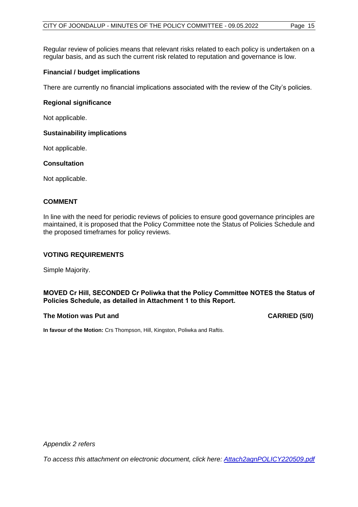Regular review of policies means that relevant risks related to each policy is undertaken on a regular basis, and as such the current risk related to reputation and governance is low.

### **Financial / budget implications**

There are currently no financial implications associated with the review of the City's policies.

### **Regional significance**

Not applicable.

### **Sustainability implications**

Not applicable.

### **Consultation**

Not applicable.

### **COMMENT**

In line with the need for periodic reviews of policies to ensure good governance principles are maintained, it is proposed that the Policy Committee note the Status of Policies Schedule and the proposed timeframes for policy reviews.

### **VOTING REQUIREMENTS**

Simple Majority.

### **MOVED Cr Hill, SECONDED Cr Poliwka that the Policy Committee NOTES the Status of Policies Schedule, as detailed in Attachment 1 to this Report.**

### **The Motion was Put and CARRIED (5/0)**

**In favour of the Motion:** Crs Thompson, Hill, Kingston, Poliwka and Raftis.

*Appendix 2 refers*

*To access this attachment on electronic document, click h[ere: Attach2agnPOLICY220509.pdf](http://www.joondalup.wa.gov.au/files/committees/POLI/2022/Attach2agnPOLICY220509.pdf)*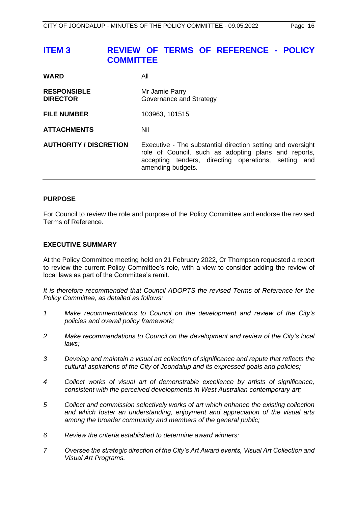# <span id="page-16-0"></span>**ITEM 3 REVIEW OF TERMS OF REFERENCE - POLICY COMMITTEE**

| <b>WARD</b>                           | All                                                                                                                                                                                              |
|---------------------------------------|--------------------------------------------------------------------------------------------------------------------------------------------------------------------------------------------------|
| <b>RESPONSIBLE</b><br><b>DIRECTOR</b> | Mr Jamie Parry<br>Governance and Strategy                                                                                                                                                        |
| <b>FILE NUMBER</b>                    | 103963, 101515                                                                                                                                                                                   |
| <b>ATTACHMENTS</b>                    | Nil                                                                                                                                                                                              |
| <b>AUTHORITY / DISCRETION</b>         | Executive - The substantial direction setting and oversight<br>role of Council, such as adopting plans and reports,<br>accepting tenders, directing operations, setting and<br>amending budgets. |

### **PURPOSE**

For Council to review the role and purpose of the Policy Committee and endorse the revised Terms of Reference.

### **EXECUTIVE SUMMARY**

At the Policy Committee meeting held on 21 February 2022, Cr Thompson requested a report to review the current Policy Committee's role, with a view to consider adding the review of local laws as part of the Committee's remit.

*It is therefore recommended that Council ADOPTS the revised Terms of Reference for the Policy Committee, as detailed as follows:*

- *1 Make recommendations to Council on the development and review of the City's policies and overall policy framework;*
- *2 Make recommendations to Council on the development and review of the City's local laws;*
- *3 Develop and maintain a visual art collection of significance and repute that reflects the cultural aspirations of the City of Joondalup and its expressed goals and policies;*
- *4 Collect works of visual art of demonstrable excellence by artists of significance, consistent with the perceived developments in West Australian contemporary art;*
- *5 Collect and commission selectively works of art which enhance the existing collection and which foster an understanding, enjoyment and appreciation of the visual arts among the broader community and members of the general public;*
- *6 Review the criteria established to determine award winners;*
- *7 Oversee the strategic direction of the City's Art Award events, Visual Art Collection and Visual Art Programs.*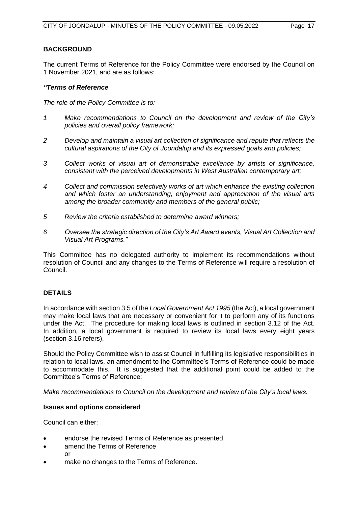### **BACKGROUND**

The current Terms of Reference for the Policy Committee were endorsed by the Council on 1 November 2021, and are as follows:

### *"Terms of Reference*

*The role of the Policy Committee is to:*

- *1 Make recommendations to Council on the development and review of the City's policies and overall policy framework;*
- *2 Develop and maintain a visual art collection of significance and repute that reflects the cultural aspirations of the City of Joondalup and its expressed goals and policies;*
- *3 Collect works of visual art of demonstrable excellence by artists of significance, consistent with the perceived developments in West Australian contemporary art;*
- *4 Collect and commission selectively works of art which enhance the existing collection and which foster an understanding, enjoyment and appreciation of the visual arts among the broader community and members of the general public;*
- *5 Review the criteria established to determine award winners;*
- *6 Oversee the strategic direction of the City's Art Award events, Visual Art Collection and Visual Art Programs."*

This Committee has no delegated authority to implement its recommendations without resolution of Council and any changes to the Terms of Reference will require a resolution of Council.

### **DETAILS**

In accordance with section 3.5 of the *Local Government Act 1995* (the Act), a local government may make local laws that are necessary or convenient for it to perform any of its functions under the Act. The procedure for making local laws is outlined in section 3.12 of the Act. In addition, a local government is required to review its local laws every eight years (section 3.16 refers).

Should the Policy Committee wish to assist Council in fulfilling its legislative responsibilities in relation to local laws, an amendment to the Committee's Terms of Reference could be made to accommodate this. It is suggested that the additional point could be added to the Committee's Terms of Reference:

*Make recommendations to Council on the development and review of the City's local laws.*

### **Issues and options considered**

Council can either:

- endorse the revised Terms of Reference as presented
- amend the Terms of Reference or
- make no changes to the Terms of Reference.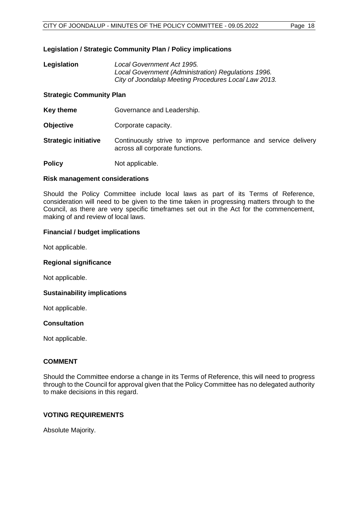### **Legislation / Strategic Community Plan / Policy implications**

**Legislation** *Local Government Act 1995. Local Government (Administration) Regulations 1996. City of Joondalup Meeting Procedures Local Law 2013.*

### **Strategic Community Plan**

- **Key theme Governance and Leadership.**
- **Objective Corporate capacity.**
- **Strategic initiative** Continuously strive to improve performance and service delivery across all corporate functions.

**Policy** Not applicable.

### **Risk management considerations**

Should the Policy Committee include local laws as part of its Terms of Reference, consideration will need to be given to the time taken in progressing matters through to the Council, as there are very specific timeframes set out in the Act for the commencement, making of and review of local laws.

### **Financial / budget implications**

Not applicable.

### **Regional significance**

Not applicable.

### **Sustainability implications**

Not applicable.

### **Consultation**

Not applicable.

### **COMMENT**

Should the Committee endorse a change in its Terms of Reference, this will need to progress through to the Council for approval given that the Policy Committee has no delegated authority to make decisions in this regard.

### **VOTING REQUIREMENTS**

Absolute Majority.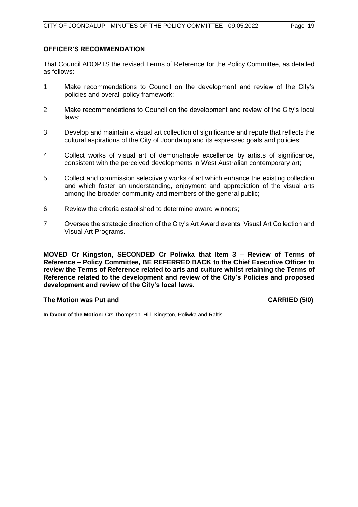### **OFFICER'S RECOMMENDATION**

That Council ADOPTS the revised Terms of Reference for the Policy Committee, as detailed as follows:

- 1 Make recommendations to Council on the development and review of the City's policies and overall policy framework;
- 2 Make recommendations to Council on the development and review of the City's local laws;
- 3 Develop and maintain a visual art collection of significance and repute that reflects the cultural aspirations of the City of Joondalup and its expressed goals and policies;
- 4 Collect works of visual art of demonstrable excellence by artists of significance, consistent with the perceived developments in West Australian contemporary art;
- 5 Collect and commission selectively works of art which enhance the existing collection and which foster an understanding, enjoyment and appreciation of the visual arts among the broader community and members of the general public;
- 6 Review the criteria established to determine award winners;
- 7 Oversee the strategic direction of the City's Art Award events, Visual Art Collection and Visual Art Programs.

**MOVED Cr Kingston, SECONDED Cr Poliwka that Item 3 – Review of Terms of Reference – Policy Committee, BE REFERRED BACK to the Chief Executive Officer to review the Terms of Reference related to arts and culture whilst retaining the Terms of Reference related to the development and review of the City's Policies and proposed development and review of the City's local laws.**

### **The Motion was Put and CARRIED (5/0)**

**In favour of the Motion:** Crs Thompson, Hill, Kingston, Poliwka and Raftis.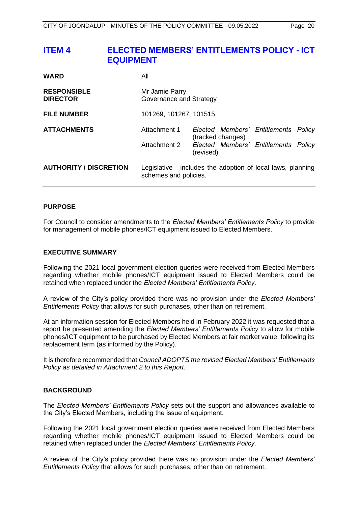# <span id="page-20-0"></span>**ITEM 4 ELECTED MEMBERS' ENTITLEMENTS POLICY - ICT EQUIPMENT**

| <b>WARD</b>                           | All                                                                                  |                   |                                      |  |
|---------------------------------------|--------------------------------------------------------------------------------------|-------------------|--------------------------------------|--|
| <b>RESPONSIBLE</b><br><b>DIRECTOR</b> | Mr Jamie Parry<br>Governance and Strategy                                            |                   |                                      |  |
| <b>FILE NUMBER</b>                    | 101269, 101267, 101515                                                               |                   |                                      |  |
| <b>ATTACHMENTS</b>                    | Attachment 1                                                                         | (tracked changes) | Elected Members' Entitlements Policy |  |
|                                       | Attachment 2                                                                         | (revised)         | Elected Members' Entitlements Policy |  |
| <b>AUTHORITY / DISCRETION</b>         | Legislative - includes the adoption of local laws, planning<br>schemes and policies. |                   |                                      |  |

### **PURPOSE**

For Council to consider amendments to the *Elected Members' Entitlements Policy* to provide for management of mobile phones/ICT equipment issued to Elected Members.

### **EXECUTIVE SUMMARY**

Following the 2021 local government election queries were received from Elected Members regarding whether mobile phones/ICT equipment issued to Elected Members could be retained when replaced under the *Elected Members' Entitlements Policy*.

A review of the City's policy provided there was no provision under the *Elected Members' Entitlements Policy* that allows for such purchases, other than on retirement.

At an information session for Elected Members held in February 2022 it was requested that a report be presented amending the *Elected Members' Entitlements Policy* to allow for mobile phones/ICT equipment to be purchased by Elected Members at fair market value, following its replacement term (as informed by the Policy).

It is therefore recommended that *Council ADOPTS the revised Elected Members' Entitlements Policy as detailed in Attachment 2 to this Report.*

### **BACKGROUND**

The *Elected Members' Entitlements Policy* sets out the support and allowances available to the City's Elected Members, including the issue of equipment.

Following the 2021 local government election queries were received from Elected Members regarding whether mobile phones/ICT equipment issued to Elected Members could be retained when replaced under the *Elected Members' Entitlements Policy*.

A review of the City's policy provided there was no provision under the *Elected Members' Entitlements Policy* that allows for such purchases, other than on retirement.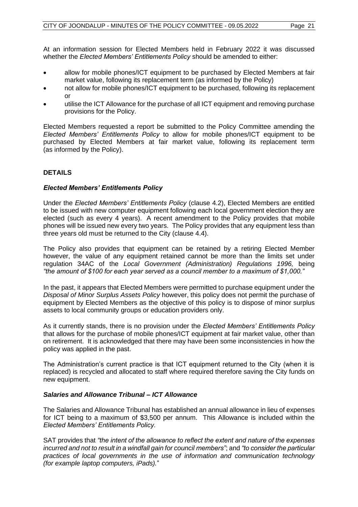At an information session for Elected Members held in February 2022 it was discussed whether the *Elected Members' Entitlements Policy* should be amended to either:

- allow for mobile phones/ICT equipment to be purchased by Elected Members at fair market value, following its replacement term (as informed by the Policy)
- not allow for mobile phones/ICT equipment to be purchased, following its replacement or
- utilise the ICT Allowance for the purchase of all ICT equipment and removing purchase provisions for the Policy.

Elected Members requested a report be submitted to the Policy Committee amending the *Elected Members' Entitlements Policy* to allow for mobile phones/ICT equipment to be purchased by Elected Members at fair market value, following its replacement term (as informed by the Policy).

### **DETAILS**

### *Elected Members' Entitlements Policy*

Under the *Elected Members' Entitlements Policy* (clause 4.2), Elected Members are entitled to be issued with new computer equipment following each local government election they are elected (such as every 4 years). A recent amendment to the Policy provides that mobile phones will be issued new every two years. The Policy provides that any equipment less than three years old must be returned to the City (clause 4.4).

The Policy also provides that equipment can be retained by a retiring Elected Member however, the value of any equipment retained cannot be more than the limits set under regulation 34AC of the *Local Government (Administration) Regulations 1996,* being *"the amount of \$100 for each year served as a council member to a maximum of \$1,000."*

In the past, it appears that Elected Members were permitted to purchase equipment under the *Disposal of Minor Surplus Assets Policy* however, this policy does not permit the purchase of equipment by Elected Members as the objective of this policy is to dispose of minor surplus assets to local community groups or education providers only.

As it currently stands, there is no provision under the *Elected Members' Entitlements Policy*  that allows for the purchase of mobile phones/ICT equipment at fair market value, other than on retirement. It is acknowledged that there may have been some inconsistencies in how the policy was applied in the past.

The Administration's current practice is that ICT equipment returned to the City (when it is replaced) is recycled and allocated to staff where required therefore saving the City funds on new equipment.

### *Salaries and Allowance Tribunal – ICT Allowance*

The Salaries and Allowance Tribunal has established an annual allowance in lieu of expenses for ICT being to a maximum of \$3,500 per annum. This Allowance is included within the *Elected Members' Entitlements Policy.*

SAT provides that *"the intent of the allowance to reflect the extent and nature of the expenses incurred and not to result in a windfall gain for council members"*; and *"to consider the particular practices of local governments in the use of information and communication technology (for example laptop computers, iPads).*"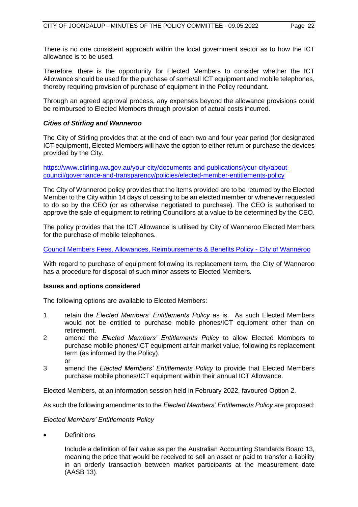There is no one consistent approach within the local government sector as to how the ICT allowance is to be used.

Therefore, there is the opportunity for Elected Members to consider whether the ICT Allowance should be used for the purchase of some/all ICT equipment and mobile telephones, thereby requiring provision of purchase of equipment in the Policy redundant.

Through an agreed approval process, any expenses beyond the allowance provisions could be reimbursed to Elected Members through provision of actual costs incurred.

### *Cities of Stirling and Wanneroo*

The City of Stirling provides that at the end of each two and four year period (for designated ICT equipment), Elected Members will have the option to either return or purchase the devices provided by the City.

[https://www.stirling.wa.gov.au/your-city/documents-and-publications/your-city/about](https://www.stirling.wa.gov.au/your-city/documents-and-publications/your-city/about-council/governance-and-transparency/policies/elected-member-entitlements-policy)[council/governance-and-transparency/policies/elected-member-entitlements-policy](https://www.stirling.wa.gov.au/your-city/documents-and-publications/your-city/about-council/governance-and-transparency/policies/elected-member-entitlements-policy)

The City of Wanneroo policy provides that the items provided are to be returned by the Elected Member to the City within 14 days of ceasing to be an elected member or whenever requested to do so by the CEO (or as otherwise negotiated to purchase). The CEO is authorised to approve the sale of equipment to retiring Councillors at a value to be determined by the CEO.

The policy provides that the ICT Allowance is utilised by City of Wanneroo Elected Members for the purchase of mobile telephones.

[Council Members Fees, Allowances, Reimbursements](https://www.wanneroo.wa.gov.au/downloads/file/1864/council_members_fees_allowances_reimbursements_and_benefits_policy) & Benefits Policy - City of Wanneroo

With regard to purchase of equipment following its replacement term, the City of Wanneroo has a procedure for disposal of such minor assets to Elected Members.

### **Issues and options considered**

The following options are available to Elected Members:

- 1 retain the *Elected Members' Entitlements Policy* as is. As such Elected Members would not be entitled to purchase mobile phones/ICT equipment other than on retirement.
- 2 amend the *Elected Members' Entitlements Policy* to allow Elected Members to purchase mobile phones/ICT equipment at fair market value, following its replacement term (as informed by the Policy). or
- 3 amend the *Elected Members' Entitlements Policy* to provide that Elected Members purchase mobile phones/ICT equipment within their annual ICT Allowance.

Elected Members, at an information session held in February 2022, favoured Option 2.

As such the following amendments to the *Elected Members' Entitlements Policy* are proposed:

### *Elected Members' Entitlements Policy*

• Definitions

Include a definition of fair value as per the Australian Accounting Standards Board 13, meaning the price that would be received to sell an asset or paid to transfer a liability in an orderly transaction between market participants at the measurement date (AASB 13).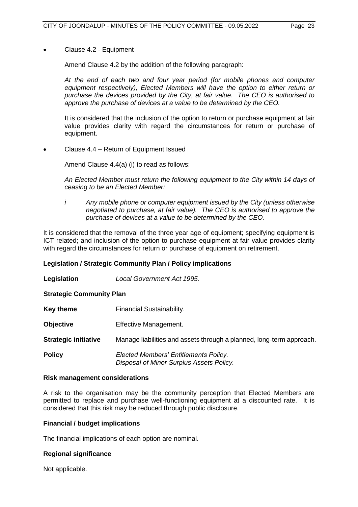### • Clause 4.2 - Equipment

Amend Clause 4.2 by the addition of the following paragraph:

*At the end of each two and four year period (for mobile phones and computer equipment respectively), Elected Members will have the option to either return or purchase the devices provided by the City, at fair value. The CEO is authorised to approve the purchase of devices at a value to be determined by the CEO.* 

It is considered that the inclusion of the option to return or purchase equipment at fair value provides clarity with regard the circumstances for return or purchase of equipment.

• Clause 4.4 – Return of Equipment Issued

Amend Clause 4.4(a) (i) to read as follows:

*An Elected Member must return the following equipment to the City within 14 days of ceasing to be an Elected Member:*

*i Any mobile phone or computer equipment issued by the City (unless otherwise negotiated to purchase, at fair value). The CEO is authorised to approve the purchase of devices at a value to be determined by the CEO.*

It is considered that the removal of the three year age of equipment; specifying equipment is ICT related; and inclusion of the option to purchase equipment at fair value provides clarity with regard the circumstances for return or purchase of equipment on retirement.

### **Legislation / Strategic Community Plan / Policy implications**

**Legislation** *Local Government Act 1995.*

**Strategic Community Plan**

| Key theme                   | Financial Sustainability.                                                         |
|-----------------------------|-----------------------------------------------------------------------------------|
| <b>Objective</b>            | Effective Management.                                                             |
| <b>Strategic initiative</b> | Manage liabilities and assets through a planned, long-term approach.              |
| <b>Policy</b>               | Elected Members' Entitlements Policy.<br>Disposal of Minor Surplus Assets Policy. |

### **Risk management considerations**

A risk to the organisation may be the community perception that Elected Members are permitted to replace and purchase well-functioning equipment at a discounted rate. It is considered that this risk may be reduced through public disclosure.

### **Financial / budget implications**

The financial implications of each option are nominal.

### **Regional significance**

Not applicable.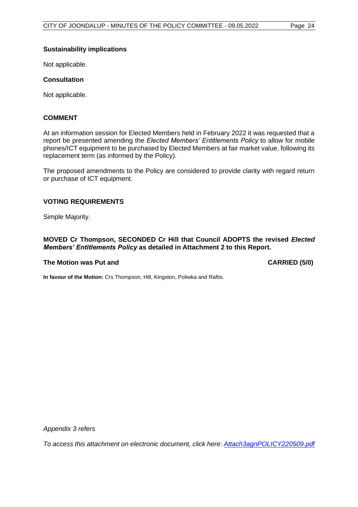### **Sustainability implications**

Not applicable.

### **Consultation**

Not applicable.

### **COMMENT**

At an information session for Elected Members held in February 2022 it was requested that a report be presented amending the *Elected Members' Entitlements Policy* to allow for mobile phones/ICT equipment to be purchased by Elected Members at fair market value, following its replacement term (as informed by the Policy).

The proposed amendments to the Policy are considered to provide clarity with regard return or purchase of ICT equipment.

### **VOTING REQUIREMENTS**

Simple Majority.

### **MOVED Cr Thompson, SECONDED Cr Hill that Council ADOPTS the revised** *Elected Members' Entitlements Policy* **as detailed in Attachment 2 to this Report.**

### **The Motion was Put and CARRIED (5/0)**

**In favour of the Motion:** Crs Thompson, Hill, Kingston, Poliwka and Raftis.

*Appendix 3 refers*

*To access this attachment on electronic document, click [here: Attach3agnPOLICY220509.pdf](http://www.joondalup.wa.gov.au/files/committees/POLI/2022/Attach3agnPOLICY220509.pdf)*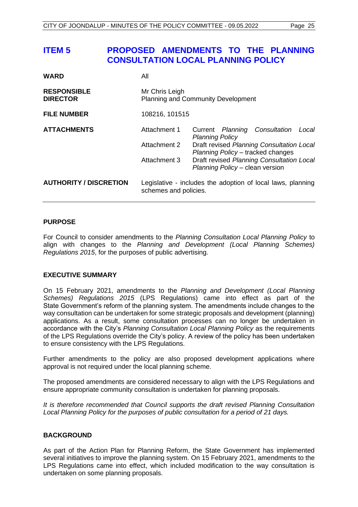# <span id="page-25-0"></span>**ITEM 5 PROPOSED AMENDMENTS TO THE PLANNING CONSULTATION LOCAL PLANNING POLICY**

| <b>WARD</b>                           | All                                                                                  |                                                                                                                                                                                                                                    |  |  |  |
|---------------------------------------|--------------------------------------------------------------------------------------|------------------------------------------------------------------------------------------------------------------------------------------------------------------------------------------------------------------------------------|--|--|--|
| <b>RESPONSIBLE</b><br><b>DIRECTOR</b> | Mr Chris Leigh<br><b>Planning and Community Development</b>                          |                                                                                                                                                                                                                                    |  |  |  |
| <b>FILE NUMBER</b>                    | 108216, 101515                                                                       |                                                                                                                                                                                                                                    |  |  |  |
| <b>ATTACHMENTS</b>                    | Attachment 1<br>Attachment 2<br>Attachment 3                                         | Current Planning Consultation<br>Local<br><b>Planning Policy</b><br>Draft revised Planning Consultation Local<br>Planning Policy - tracked changes<br>Draft revised Planning Consultation Local<br>Planning Policy - clean version |  |  |  |
| <b>AUTHORITY / DISCRETION</b>         | Legislative - includes the adoption of local laws, planning<br>schemes and policies. |                                                                                                                                                                                                                                    |  |  |  |

### **PURPOSE**

For Council to consider amendments to the *Planning Consultation Local Planning Policy* to align with changes to the *Planning and Development (Local Planning Schemes) Regulations 2015*, for the purposes of public advertising.

### **EXECUTIVE SUMMARY**

On 15 February 2021, amendments to the *Planning and Development (Local Planning Schemes) Regulations 2015* (LPS Regulations) came into effect as part of the State Government's reform of the planning system. The amendments include changes to the way consultation can be undertaken for some strategic proposals and development (planning) applications. As a result, some consultation processes can no longer be undertaken in accordance with the City's *Planning Consultation Local Planning Policy* as the requirements of the LPS Regulations override the City's policy. A review of the policy has been undertaken to ensure consistency with the LPS Regulations.

Further amendments to the policy are also proposed development applications where approval is not required under the local planning scheme.

The proposed amendments are considered necessary to align with the LPS Regulations and ensure appropriate community consultation is undertaken for planning proposals.

*It is therefore recommended that Council supports the draft revised Planning Consultation Local Planning Policy for the purposes of public consultation for a period of 21 days.* 

### **BACKGROUND**

As part of the Action Plan for Planning Reform, the State Government has implemented several initiatives to improve the planning system. On 15 February 2021, amendments to the LPS Regulations came into effect, which included modification to the way consultation is undertaken on some planning proposals.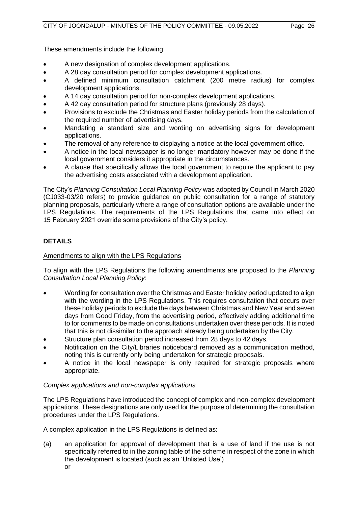These amendments include the following:

- A new designation of complex development applications.
- A 28 day consultation period for complex development applications.
- A defined minimum consultation catchment (200 metre radius) for complex development applications.
- A 14 day consultation period for non-complex development applications.
- A 42 day consultation period for structure plans (previously 28 days).
- Provisions to exclude the Christmas and Easter holiday periods from the calculation of the required number of advertising days.
- Mandating a standard size and wording on advertising signs for development applications.
- The removal of any reference to displaying a notice at the local government office.
- A notice in the local newspaper is no longer mandatory however may be done if the local government considers it appropriate in the circumstances.
- A clause that specifically allows the local government to require the applicant to pay the advertising costs associated with a development application.

The City's *Planning Consultation Local Planning Policy* was adopted by Council in March 2020 (CJ033-03/20 refers) to provide guidance on public consultation for a range of statutory planning proposals, particularly where a range of consultation options are available under the LPS Regulations. The requirements of the LPS Regulations that came into effect on 15 February 2021 override some provisions of the City's policy.

### **DETAILS**

### Amendments to align with the LPS Regulations

To align with the LPS Regulations the following amendments are proposed to the *Planning Consultation Local Planning Policy*:

- Wording for consultation over the Christmas and Easter holiday period updated to align with the wording in the LPS Regulations. This requires consultation that occurs over these holiday periods to exclude the days between Christmas and New Year and seven days from Good Friday, from the advertising period, effectively adding additional time to for comments to be made on consultations undertaken over these periods. It is noted that this is not dissimilar to the approach already being undertaken by the City.
- Structure plan consultation period increased from 28 days to 42 days.
- Notification on the City/Libraries noticeboard removed as a communication method, noting this is currently only being undertaken for strategic proposals.
- A notice in the local newspaper is only required for strategic proposals where appropriate.

### *Complex applications and non-complex applications*

The LPS Regulations have introduced the concept of complex and non-complex development applications. These designations are only used for the purpose of determining the consultation procedures under the LPS Regulations.

A complex application in the LPS Regulations is defined as:

(a) an application for approval of development that is a use of land if the use is not specifically referred to in the zoning table of the scheme in respect of the zone in which the development is located (such as an 'Unlisted Use') or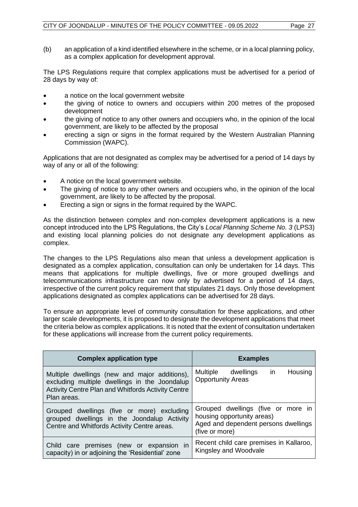The LPS Regulations require that complex applications must be advertised for a period of 28 days by way of:

- a notice on the local government website
- the giving of notice to owners and occupiers within 200 metres of the proposed development
- the giving of notice to any other owners and occupiers who, in the opinion of the local government, are likely to be affected by the proposal
- erecting a sign or signs in the format required by the Western Australian Planning Commission (WAPC).

Applications that are not designated as complex may be advertised for a period of 14 days by way of any or all of the following:

- A notice on the local government website.
- The giving of notice to any other owners and occupiers who, in the opinion of the local government, are likely to be affected by the proposal.
- Erecting a sign or signs in the format required by the WAPC.

As the distinction between complex and non-complex development applications is a new concept introduced into the LPS Regulations, the City's *Local Planning Scheme No. 3* (LPS3) and existing local planning policies do not designate any development applications as complex.

The changes to the LPS Regulations also mean that unless a development application is designated as a complex application, consultation can only be undertaken for 14 days. This means that applications for multiple dwellings, five or more grouped dwellings and telecommunications infrastructure can now only by advertised for a period of 14 days, irrespective of the current policy requirement that stipulates 21 days. Only those development applications designated as complex applications can be advertised for 28 days.

To ensure an appropriate level of community consultation for these applications, and other larger scale developments, it is proposed to designate the development applications that meet the criteria below as complex applications. It is noted that the extent of consultation undertaken for these applications will increase from the current policy requirements.

| <b>Complex application type</b>                                                                                                          | <b>Examples</b>                                                                                                            |  |  |  |
|------------------------------------------------------------------------------------------------------------------------------------------|----------------------------------------------------------------------------------------------------------------------------|--|--|--|
| Multiple dwellings (new and major additions),                                                                                            | Housing                                                                                                                    |  |  |  |
| excluding multiple dwellings in the Joondalup                                                                                            | Multiple dwellings                                                                                                         |  |  |  |
| Activity Centre Plan and Whitfords Activity Centre                                                                                       | in in                                                                                                                      |  |  |  |
| Plan areas.                                                                                                                              | <b>Opportunity Areas</b>                                                                                                   |  |  |  |
| Grouped dwellings (five or more) excluding<br>grouped dwellings in the Joondalup Activity<br>Centre and Whitfords Activity Centre areas. | Grouped dwellings (five or more in<br>housing opportunity areas)<br>Aged and dependent persons dwellings<br>(five or more) |  |  |  |
| Child care premises (new or expansion in                                                                                                 | Recent child care premises in Kallaroo,                                                                                    |  |  |  |
| capacity) in or adjoining the 'Residential' zone                                                                                         | Kingsley and Woodvale                                                                                                      |  |  |  |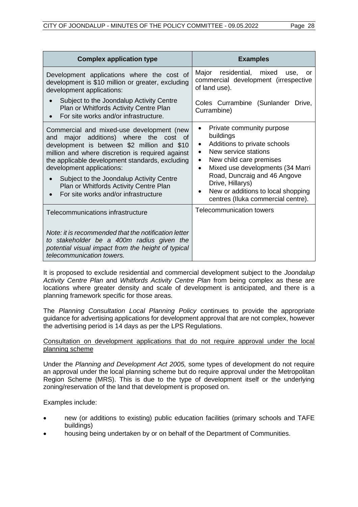| <b>Complex application type</b>                                                                                                                                                                                                                                                                                                                                                                            | <b>Examples</b>                                                                                                                                                                                                                                                                                                              |
|------------------------------------------------------------------------------------------------------------------------------------------------------------------------------------------------------------------------------------------------------------------------------------------------------------------------------------------------------------------------------------------------------------|------------------------------------------------------------------------------------------------------------------------------------------------------------------------------------------------------------------------------------------------------------------------------------------------------------------------------|
| Development applications where the cost of<br>development is \$10 million or greater, excluding<br>development applications:                                                                                                                                                                                                                                                                               | mixed<br>Major<br>residential,<br>use.<br>or<br>commercial development (irrespective<br>of land use).                                                                                                                                                                                                                        |
| Subject to the Joondalup Activity Centre<br>Plan or Whitfords Activity Centre Plan<br>For site works and/or infrastructure.                                                                                                                                                                                                                                                                                | Coles Currambine (Sunlander<br>Drive,<br>Currambine)                                                                                                                                                                                                                                                                         |
| Commercial and mixed-use development (new<br>major additions) where the<br>and<br>cost of<br>development is between \$2 million and \$10<br>million and where discretion is required against<br>the applicable development standards, excluding<br>development applications:<br>Subject to the Joondalup Activity Centre<br>Plan or Whitfords Activity Centre Plan<br>For site works and/or infrastructure | Private community purpose<br>buildings<br>Additions to private schools<br>٠<br>New service stations<br>New child care premises<br>$\bullet$<br>Mixed use developments (34 Marri<br>$\bullet$<br>Road, Duncraig and 46 Angove<br>Drive, Hillarys)<br>New or additions to local shopping<br>centres (Iluka commercial centre). |
| Telecommunications infrastructure                                                                                                                                                                                                                                                                                                                                                                          | <b>Telecommunication towers</b>                                                                                                                                                                                                                                                                                              |
| Note: it is recommended that the notification letter<br>to stakeholder be a 400m radius given the<br>potential visual impact from the height of typical<br>telecommunication towers.                                                                                                                                                                                                                       |                                                                                                                                                                                                                                                                                                                              |

It is proposed to exclude residential and commercial development subject to the *Joondalup Activity Centre Plan* and *Whitfords Activity Centre Plan* from being complex as these are locations where greater density and scale of development is anticipated, and there is a planning framework specific for those areas.

The *Planning Consultation Local Planning Policy* continues to provide the appropriate guidance for advertising applications for development approval that are not complex, however the advertising period is 14 days as per the LPS Regulations.

### Consultation on development applications that do not require approval under the local planning scheme

Under the *Planning and Development Act 2005,* some types of development do not require an approval under the local planning scheme but do require approval under the Metropolitan Region Scheme (MRS). This is due to the type of development itself or the underlying zoning/reservation of the land that development is proposed on.

Examples include:

- new (or additions to existing) public education facilities (primary schools and TAFE buildings)
- housing being undertaken by or on behalf of the Department of Communities.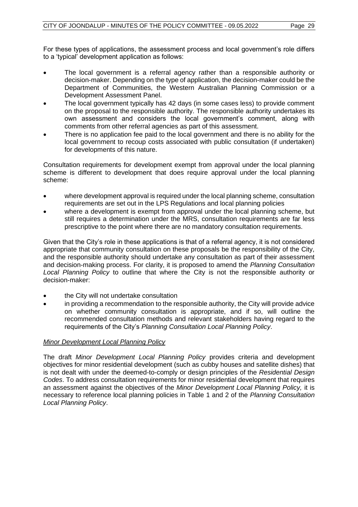For these types of applications, the assessment process and local government's role differs to a 'typical' development application as follows:

- The local government is a referral agency rather than a responsible authority or decision-maker. Depending on the type of application, the decision-maker could be the Department of Communities, the Western Australian Planning Commission or a Development Assessment Panel.
- The local government typically has 42 days (in some cases less) to provide comment on the proposal to the responsible authority. The responsible authority undertakes its own assessment and considers the local government's comment, along with comments from other referral agencies as part of this assessment.
- There is no application fee paid to the local government and there is no ability for the local government to recoup costs associated with public consultation (if undertaken) for developments of this nature.

Consultation requirements for development exempt from approval under the local planning scheme is different to development that does require approval under the local planning scheme:

- where development approval is required under the local planning scheme, consultation requirements are set out in the LPS Regulations and local planning policies
- where a development is exempt from approval under the local planning scheme, but still requires a determination under the MRS, consultation requirements are far less prescriptive to the point where there are no mandatory consultation requirements.

Given that the City's role in these applications is that of a referral agency, it is not considered appropriate that community consultation on these proposals be the responsibility of the City, and the responsible authority should undertake any consultation as part of their assessment and decision-making process. For clarity, it is proposed to amend the *Planning Consultation Local Planning Policy* to outline that where the City is not the responsible authority or decision-maker:

- the City will not undertake consultation
- in providing a recommendation to the responsible authority, the City will provide advice on whether community consultation is appropriate, and if so, will outline the recommended consultation methods and relevant stakeholders having regard to the requirements of the City's *Planning Consultation Local Planning Policy*.

### *Minor Development Local Planning Policy*

The draft *Minor Development Local Planning Policy* provides criteria and development objectives for minor residential development (such as cubby houses and satellite dishes) that is not dealt with under the deemed-to-comply or design principles of the *Residential Design Codes*. To address consultation requirements for minor residential development that requires an assessment against the objectives of the *Minor Development Local Planning Policy,* it is necessary to reference local planning policies in Table 1 and 2 of the *Planning Consultation Local Planning Policy*.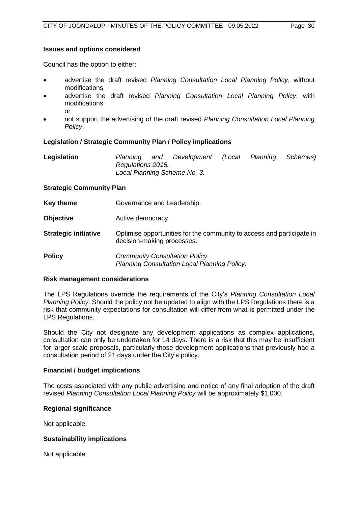### **Issues and options considered**

Council has the option to either:

- advertise the draft revised *Planning Consultation Local Planning Policy*, without modifications
- advertise the draft revised *Planning Consultation Local Planning Policy*, with modifications
	- or
- not support the advertising of the draft revised *Planning Consultation Local Planning Policy*.

### **Legislation / Strategic Community Plan / Policy implications**

| Legislation | Planning          | and | Development                  | (Local | Planning Schemes) |  |
|-------------|-------------------|-----|------------------------------|--------|-------------------|--|
|             | Regulations 2015. |     |                              |        |                   |  |
|             |                   |     | Local Planning Scheme No. 3. |        |                   |  |

### **Strategic Community Plan**

- **Key theme Governance and Leadership.**
- **Objective Active democracy.**
- **Strategic initiative** Optimise opportunities for the community to access and participate in decision-making processes.

**Policy** *Community Consultation Policy. Planning Consultation Local Planning Policy.*

### **Risk management considerations**

The LPS Regulations override the requirements of the City's *Planning Consultation Local Planning Policy*. Should the policy not be updated to align with the LPS Regulations there is a risk that community expectations for consultation will differ from what is permitted under the LPS Regulations.

Should the City not designate any development applications as complex applications, consultation can only be undertaken for 14 days. There is a risk that this may be insufficient for larger scale proposals, particularly those development applications that previously had a consultation period of 21 days under the City's policy.

### **Financial / budget implications**

The costs associated with any public advertising and notice of any final adoption of the draft revised *Planning Consultation Local Planning Policy* will be approximately \$1,000.

### **Regional significance**

Not applicable.

### **Sustainability implications**

Not applicable.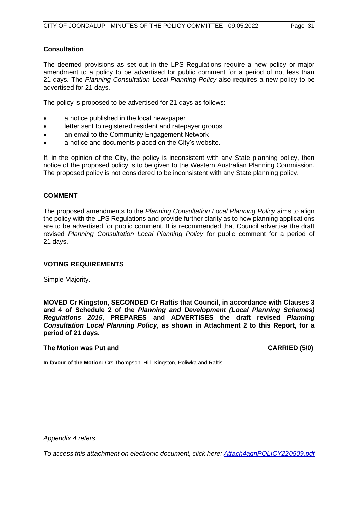### **Consultation**

The deemed provisions as set out in the LPS Regulations require a new policy or major amendment to a policy to be advertised for public comment for a period of not less than 21 days. The *Planning Consultation Local Planning Policy* also requires a new policy to be advertised for 21 days.

The policy is proposed to be advertised for 21 days as follows:

- a notice published in the local newspaper
- letter sent to registered resident and ratepayer groups
- an email to the Community Engagement Network
- a notice and documents placed on the City's website.

If, in the opinion of the City, the policy is inconsistent with any State planning policy, then notice of the proposed policy is to be given to the Western Australian Planning Commission. The proposed policy is not considered to be inconsistent with any State planning policy.

### **COMMENT**

The proposed amendments to the *Planning Consultation Local Planning Policy* aims to align the policy with the LPS Regulations and provide further clarity as to how planning applications are to be advertised for public comment. It is recommended that Council advertise the draft revised *Planning Consultation Local Planning Policy* for public comment for a period of 21 days.

### **VOTING REQUIREMENTS**

Simple Majority.

**MOVED Cr Kingston, SECONDED Cr Raftis that Council, in accordance with Clauses 3 and 4 of Schedule 2 of the** *Planning and Development (Local Planning Schemes) Regulations 2015***, PREPARES and ADVERTISES the draft revised** *Planning Consultation Local Planning Policy***, as shown in Attachment 2 to this Report, for a period of 21 days.**

### **The Motion was Put and CARRIED (5/0)**

**In favour of the Motion:** Crs Thompson, Hill, Kingston, Poliwka and Raftis.

*Appendix 4 refers*

*To access this attachment on electronic document, click her[e: Attach4agnPOLICY220509.pdf](http://www.joondalup.wa.gov.au/files/committees/POLI/2022/Attach4agnPOLICY220509.pdf)*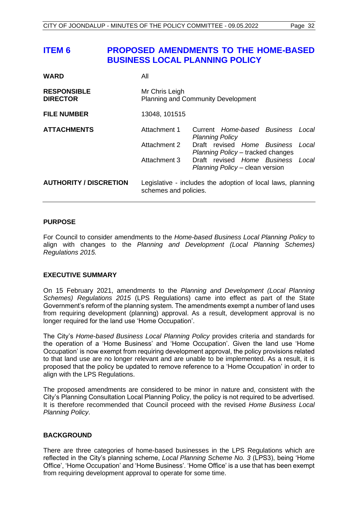# <span id="page-32-0"></span>**ITEM 6 PROPOSED AMENDMENTS TO THE HOME-BASED BUSINESS LOCAL PLANNING POLICY**

| <b>WARD</b>                           | All                                                                                       |                                                       |  |       |  |  |
|---------------------------------------|-------------------------------------------------------------------------------------------|-------------------------------------------------------|--|-------|--|--|
| <b>RESPONSIBLE</b><br><b>DIRECTOR</b> | Mr Chris Leigh<br><b>Planning and Community Development</b>                               |                                                       |  |       |  |  |
| <b>FILE NUMBER</b>                    | 13048, 101515                                                                             |                                                       |  |       |  |  |
| <b>ATTACHMENTS</b>                    | Attachment 1                                                                              | Current Home-based Business<br><b>Planning Policy</b> |  | Local |  |  |
|                                       | Attachment 2<br>Draft revised Home Business<br>Local<br>Planning Policy – tracked changes |                                                       |  |       |  |  |
|                                       | Attachment 3<br>Draft revised Home Business<br>Local<br>Planning Policy - clean version   |                                                       |  |       |  |  |
| <b>AUTHORITY / DISCRETION</b>         | Legislative - includes the adoption of local laws, planning<br>schemes and policies.      |                                                       |  |       |  |  |

### **PURPOSE**

For Council to consider amendments to the *Home-based Business Local Planning Policy* to align with changes to the *Planning and Development (Local Planning Schemes) Regulations 2015.*

### **EXECUTIVE SUMMARY**

On 15 February 2021, amendments to the *Planning and Development (Local Planning Schemes) Regulations 2015* (LPS Regulations) came into effect as part of the State Government's reform of the planning system. The amendments exempt a number of land uses from requiring development (planning) approval. As a result, development approval is no longer required for the land use 'Home Occupation'.

The City's *Home-based Business Local Planning Policy* provides criteria and standards for the operation of a 'Home Business' and 'Home Occupation'. Given the land use 'Home Occupation' is now exempt from requiring development approval, the policy provisions related to that land use are no longer relevant and are unable to be implemented. As a result, it is proposed that the policy be updated to remove reference to a 'Home Occupation' in order to align with the LPS Regulations.

The proposed amendments are considered to be minor in nature and, consistent with the City's Planning Consultation Local Planning Policy, the policy is not required to be advertised. It is therefore recommended that Council proceed with the revised *Home Business Local Planning Policy*.

### **BACKGROUND**

There are three categories of home-based businesses in the LPS Regulations which are reflected in the City's planning scheme, *Local Planning Scheme No. 3* (LPS3), being 'Home Office', 'Home Occupation' and 'Home Business'. 'Home Office' is a use that has been exempt from requiring development approval to operate for some time.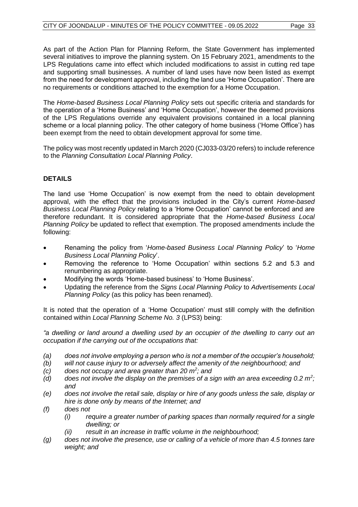As part of the Action Plan for Planning Reform, the State Government has implemented several initiatives to improve the planning system. On 15 February 2021, amendments to the LPS Regulations came into effect which included modifications to assist in cutting red tape and supporting small businesses. A number of land uses have now been listed as exempt from the need for development approval, including the land use 'Home Occupation'. There are no requirements or conditions attached to the exemption for a Home Occupation.

The *Home-based Business Local Planning Policy* sets out specific criteria and standards for the operation of a 'Home Business' and 'Home Occupation', however the deemed provisions of the LPS Regulations override any equivalent provisions contained in a local planning scheme or a local planning policy. The other category of home business ('Home Office') has been exempt from the need to obtain development approval for some time.

The policy was most recently updated in March 2020 (CJ033-03/20 refers) to include reference to the *Planning Consultation Local Planning Policy*.

### **DETAILS**

The land use 'Home Occupation' is now exempt from the need to obtain development approval, with the effect that the provisions included in the City's current *Home-based Business Local Planning Policy* relating to a 'Home Occupation' cannot be enforced and are therefore redundant. It is considered appropriate that the *Home-based Business Local Planning Policy* be updated to reflect that exemption. The proposed amendments include the following:

- Renaming the policy from '*Home-based Business Local Planning Policy*' to '*Home Business Local Planning Policy*'.
- Removing the reference to 'Home Occupation' within sections 5.2 and 5.3 and renumbering as appropriate.
- Modifying the words 'Home-based business' to 'Home Business'.
- Updating the reference from the *Signs Local Planning Policy* to *Advertisements Local Planning Policy* (as this policy has been renamed).

It is noted that the operation of a 'Home Occupation' must still comply with the definition contained within *Local Planning Scheme No. 3* (LPS3) being:

*"a dwelling or land around a dwelling used by an occupier of the dwelling to carry out an occupation if the carrying out of the occupations that:*

- *(a) does not involve employing a person who is not a member of the occupier's household;*
- *(b) will not cause injury to or adversely affect the amenity of the neighbourhood; and*
- *(c) does not occupy and area greater than 20 m<sup>2</sup> ; and*
- *(d) does not involve the display on the premises of a sign with an area exceeding 0.2 m<sup>2</sup> ; and*
- *(e) does not involve the retail sale, display or hire of any goods unless the sale, display or hire is done only by means of the Internet; and*
- *(f) does not*
	- *(i) require a greater number of parking spaces than normally required for a single dwelling; or*
	- *(ii) result in an increase in traffic volume in the neighbourhood;*
- *(g) does not involve the presence, use or calling of a vehicle of more than 4.5 tonnes tare weight; and*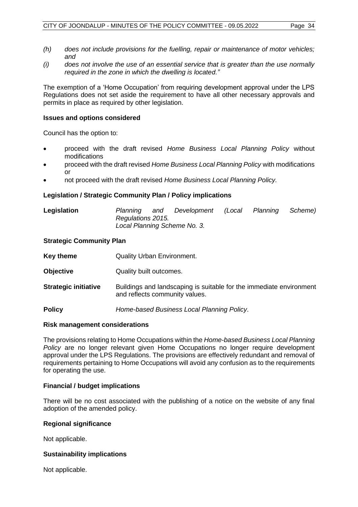- *(h) does not include provisions for the fuelling, repair or maintenance of motor vehicles; and*
- *(i) does not involve the use of an essential service that is greater than the use normally required in the zone in which the dwelling is located."*

The exemption of a 'Home Occupation' from requiring development approval under the LPS Regulations does not set aside the requirement to have all other necessary approvals and permits in place as required by other legislation.

### **Issues and options considered**

Council has the option to:

- proceed with the draft revised *Home Business Local Planning Policy* without modifications
- proceed with the draft revised *Home Business Local Planning Policy* with modifications or
- not proceed with the draft revised *Home Business Local Planning Policy.*

### **Legislation / Strategic Community Plan / Policy implications**

### **Legislation** *Planning and Development (Local Planning Scheme) Regulations 2015. Local Planning Scheme No. 3.*

### **Strategic Community Plan**

| Key theme                   | <b>Quality Urban Environment.</b>                                                                     |
|-----------------------------|-------------------------------------------------------------------------------------------------------|
| <b>Objective</b>            | Quality built outcomes.                                                                               |
| <b>Strategic initiative</b> | Buildings and landscaping is suitable for the immediate environment<br>and reflects community values. |
| <b>Policy</b>               | Home-based Business Local Planning Policy.                                                            |

### **Risk management considerations**

The provisions relating to Home Occupations within the *Home-based Business Local Planning Policy* are no longer relevant given Home Occupations no longer require development approval under the LPS Regulations. The provisions are effectively redundant and removal of requirements pertaining to Home Occupations will avoid any confusion as to the requirements for operating the use.

### **Financial / budget implications**

There will be no cost associated with the publishing of a notice on the website of any final adoption of the amended policy.

### **Regional significance**

Not applicable.

### **Sustainability implications**

Not applicable.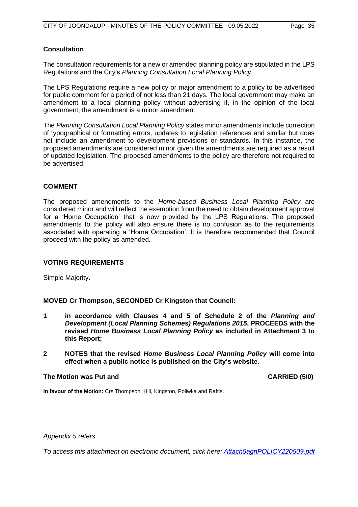### **Consultation**

The consultation requirements for a new or amended planning policy are stipulated in the LPS Regulations and the City's *Planning Consultation Local Planning Policy.*

The LPS Regulations require a new policy or major amendment to a policy to be advertised for public comment for a period of not less than 21 days. The local government may make an amendment to a local planning policy without advertising if, in the opinion of the local government, the amendment is a minor amendment.

The *Planning Consultation Local Planning Policy* states minor amendments include correction of typographical or formatting errors, updates to legislation references and similar but does not include an amendment to development provisions or standards. In this instance, the proposed amendments are considered minor given the amendments are required as a result of updated legislation. The proposed amendments to the policy are therefore not required to be advertised.

### **COMMENT**

The proposed amendments to the *Home-based Business Local Planning Policy* are considered minor and will reflect the exemption from the need to obtain development approval for a 'Home Occupation' that is now provided by the LPS Regulations. The proposed amendments to the policy will also ensure there is no confusion as to the requirements associated with operating a 'Home Occupation'. It is therefore recommended that Council proceed with the policy as amended.

### **VOTING REQUIREMENTS**

Simple Majority.

### **MOVED Cr Thompson, SECONDED Cr Kingston that Council:**

- **1 in accordance with Clauses 4 and 5 of Schedule 2 of the** *Planning and Development (Local Planning Schemes) Regulations 2015***, PROCEEDS with the revised** *Home Business Local Planning Policy* **as included in Attachment 3 to this Report;**
- **2 NOTES that the revised** *Home Business Local Planning Policy* **will come into effect when a public notice is published on the City's website.**

### **The Motion was Put and CARRIED (5/0)**

**In favour of the Motion:** Crs Thompson, Hill, Kingston, Poliwka and Raftis.

*Appendix 5 refers*

*To access this attachment on electronic document, click h[ere: Attach5agnPOLICY220509.pdf](http://www.joondalup.wa.gov.au/files/committees/POLI/2022/Attach5agnPOLICY220509.pdf)*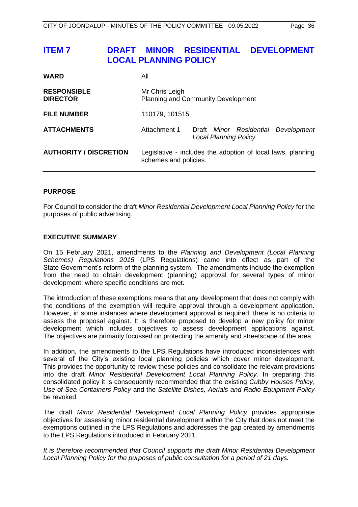# <span id="page-36-0"></span>**ITEM 7 DRAFT MINOR RESIDENTIAL DEVELOPMENT LOCAL PLANNING POLICY**

| <b>WARD</b>                           | All                                                         |                                                                                      |  |                                     |  |  |
|---------------------------------------|-------------------------------------------------------------|--------------------------------------------------------------------------------------|--|-------------------------------------|--|--|
| <b>RESPONSIBLE</b><br><b>DIRECTOR</b> | Mr Chris Leigh<br><b>Planning and Community Development</b> |                                                                                      |  |                                     |  |  |
| <b>FILE NUMBER</b>                    | 110179, 101515                                              |                                                                                      |  |                                     |  |  |
| <b>ATTACHMENTS</b>                    | Attachment 1                                                | <b>Local Planning Policy</b>                                                         |  | Draft Minor Residential Development |  |  |
| <b>AUTHORITY / DISCRETION</b>         |                                                             | Legislative - includes the adoption of local laws, planning<br>schemes and policies. |  |                                     |  |  |

### **PURPOSE**

For Council to consider the draft *Minor Residential Development Local Planning Policy* for the purposes of public advertising.

### **EXECUTIVE SUMMARY**

On 15 February 2021, amendments to the *Planning and Development (Local Planning Schemes) Regulations 2015* (LPS Regulations) came into effect as part of the State Government's reform of the planning system. The amendments include the exemption from the need to obtain development (planning) approval for several types of minor development, where specific conditions are met.

The introduction of these exemptions means that any development that does not comply with the conditions of the exemption will require approval through a development application. However, in some instances where development approval is required, there is no criteria to assess the proposal against. It is therefore proposed to develop a new policy for minor development which includes objectives to assess development applications against. The objectives are primarily focussed on protecting the amenity and streetscape of the area.

In addition, the amendments to the LPS Regulations have introduced inconsistences with several of the City's existing local planning policies which cover minor development. This provides the opportunity to review these policies and consolidate the relevant provisions into the draft *Minor Residential Development Local Planning Policy.* In preparing this consolidated policy it is consequently recommended that the existing *Cubby Houses Policy*, *Use of Sea Containers Policy* and the *Satellite Dishes, Aerials and Radio Equipment Policy* be revoked.

The draft *Minor Residential Development Local Planning Policy* provides appropriate objectives for assessing minor residential development within the City that does not meet the exemptions outlined in the LPS Regulations and addresses the gap created by amendments to the LPS Regulations introduced in February 2021.

*It is therefore recommended that Council supports the draft Minor Residential Development Local Planning Policy for the purposes of public consultation for a period of 21 days.*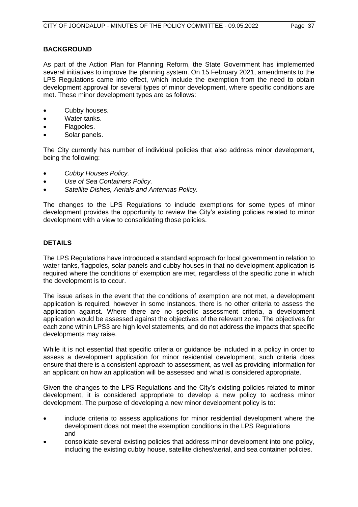### **BACKGROUND**

As part of the Action Plan for Planning Reform, the State Government has implemented several initiatives to improve the planning system. On 15 February 2021, amendments to the LPS Regulations came into effect, which include the exemption from the need to obtain development approval for several types of minor development, where specific conditions are met. These minor development types are as follows:

- Cubby houses.
- Water tanks.
- Flagpoles.
- Solar panels.

The City currently has number of individual policies that also address minor development, being the following:

- *Cubby Houses Policy.*
- *Use of Sea Containers Policy.*
- *Satellite Dishes, Aerials and Antennas Policy.*

The changes to the LPS Regulations to include exemptions for some types of minor development provides the opportunity to review the City's existing policies related to minor development with a view to consolidating those policies.

### **DETAILS**

The LPS Regulations have introduced a standard approach for local government in relation to water tanks, flagpoles, solar panels and cubby houses in that no development application is required where the conditions of exemption are met, regardless of the specific zone in which the development is to occur.

The issue arises in the event that the conditions of exemption are not met, a development application is required, however in some instances, there is no other criteria to assess the application against. Where there are no specific assessment criteria, a development application would be assessed against the objectives of the relevant zone. The objectives for each zone within LPS3 are high level statements, and do not address the impacts that specific developments may raise.

While it is not essential that specific criteria or guidance be included in a policy in order to assess a development application for minor residential development, such criteria does ensure that there is a consistent approach to assessment, as well as providing information for an applicant on how an application will be assessed and what is considered appropriate.

Given the changes to the LPS Regulations and the City's existing policies related to minor development, it is considered appropriate to develop a new policy to address minor development. The purpose of developing a new minor development policy is to:

- include criteria to assess applications for minor residential development where the development does not meet the exemption conditions in the LPS Regulations and
- consolidate several existing policies that address minor development into one policy, including the existing cubby house, satellite dishes/aerial, and sea container policies.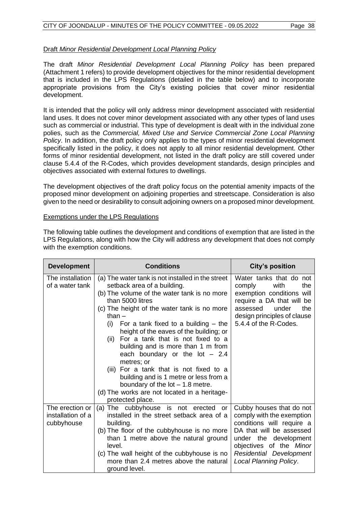### Draft *Minor Residential Development Local Planning Policy*

The draft *Minor Residential Development Local Planning Policy* has been prepared (Attachment 1 refers) to provide development objectives for the minor residential development that is included in the LPS Regulations (detailed in the table below) and to incorporate appropriate provisions from the City's existing policies that cover minor residential development.

It is intended that the policy will only address minor development associated with residential land uses. It does not cover minor development associated with any other types of land uses such as commercial or industrial. This type of development is dealt with in the individual zone polies, such as the *Commercial, Mixed Use and Service Commercial Zone Local Planning Policy*. In addition, the draft policy only applies to the types of minor residential development specifically listed in the policy, it does not apply to all minor residential development. Other forms of minor residential development, not listed in the draft policy are still covered under clause 5.4.4 of the R-Codes, which provides development standards, design principles and objectives associated with external fixtures to dwellings.

The development objectives of the draft policy focus on the potential amenity impacts of the proposed minor development on adjoining properties and streetscape. Consideration is also given to the need or desirability to consult adjoining owners on a proposed minor development.

### Exemptions under the LPS Regulations

| <b>Development</b>                                 | <b>Conditions</b>                                                                                                                                                                                                                                                                                                                                                                                                                                                                                                                                                                                                                            | <b>City's position</b>                                                                                                                                                                                                  |
|----------------------------------------------------|----------------------------------------------------------------------------------------------------------------------------------------------------------------------------------------------------------------------------------------------------------------------------------------------------------------------------------------------------------------------------------------------------------------------------------------------------------------------------------------------------------------------------------------------------------------------------------------------------------------------------------------------|-------------------------------------------------------------------------------------------------------------------------------------------------------------------------------------------------------------------------|
| The installation<br>of a water tank                | (a) The water tank is not installed in the street<br>setback area of a building.<br>(b) The volume of the water tank is no more<br>than 5000 litres<br>(c) The height of the water tank is no more<br>than –<br>For a tank fixed to a building $-$ the<br>(i)<br>height of the eaves of the building; or<br>For a tank that is not fixed to a<br>(ii)<br>building and is more than 1 m from<br>each boundary or the $lot - 2.4$<br>metres; or<br>(iii) For a tank that is not fixed to a<br>building and is 1 metre or less from a<br>boundary of the $lot - 1.8$ metre.<br>(d) The works are not located in a heritage-<br>protected place. | Water tanks that do not<br>with<br>comply<br>the<br>exemption conditions will<br>require a DA that will be<br>assessed<br>under<br>the<br>design principles of clause<br>5.4.4 of the R-Codes.                          |
| The erection or<br>installation of a<br>cubbyhouse | (a) The cubbyhouse is not erected<br>or<br>installed in the street setback area of a<br>building.<br>(b) The floor of the cubbyhouse is no more<br>than 1 metre above the natural ground<br>level.<br>(c) The wall height of the cubbyhouse is no<br>more than 2.4 metres above the natural<br>ground level.                                                                                                                                                                                                                                                                                                                                 | Cubby houses that do not<br>comply with the exemption<br>conditions will require a<br>DA that will be assessed<br>under the development<br>objectives of the Minor<br>Residential Development<br>Local Planning Policy. |

The following table outlines the development and conditions of exemption that are listed in the LPS Regulations, along with how the City will address any development that does not comply with the exemption conditions.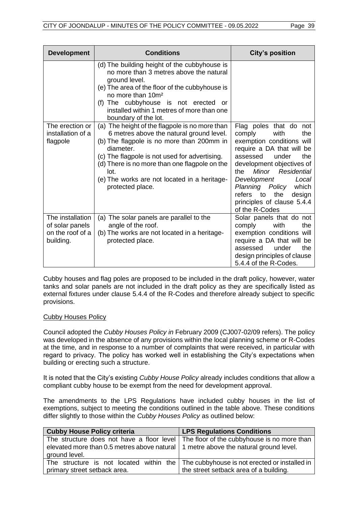| <b>Development</b>                                                   | <b>Conditions</b>                                                                                                                                                                                                                                                                                                                                                                                          | <b>City's position</b>                                                                                                                                                                                                                                                              |
|----------------------------------------------------------------------|------------------------------------------------------------------------------------------------------------------------------------------------------------------------------------------------------------------------------------------------------------------------------------------------------------------------------------------------------------------------------------------------------------|-------------------------------------------------------------------------------------------------------------------------------------------------------------------------------------------------------------------------------------------------------------------------------------|
| The erection or<br>installation of a                                 | (d) The building height of the cubbyhouse is<br>no more than 3 metres above the natural<br>ground level.<br>(e) The area of the floor of the cubbyhouse is<br>no more than 10m <sup>2</sup><br>(f) The cubbyhouse is not erected<br>or<br>installed within 1 metres of more than one<br>boundary of the lot.<br>(a) The height of the flagpole is no more than<br>6 metres above the natural ground level. | Flag poles that do not<br>comply<br>with<br>the                                                                                                                                                                                                                                     |
| flagpole                                                             | (b) The flagpole is no more than 200mm in<br>diameter.<br>(c) The flagpole is not used for advertising.<br>(d) There is no more than one flagpole on the<br>lot.<br>(e) The works are not located in a heritage-<br>protected place.                                                                                                                                                                       | exemption conditions will<br>require a DA that will be<br>assessed<br>under<br>the<br>development objectives of<br>Residential<br>Minor<br>the<br>Development<br>Local<br>Planning Policy<br>which<br>the<br>refers<br>to<br>design<br>principles of clause 5.4.4<br>of the R-Codes |
| The installation<br>of solar panels<br>on the roof of a<br>building. | The solar panels are parallel to the<br>(a)<br>angle of the roof.<br>(b) The works are not located in a heritage-<br>protected place.                                                                                                                                                                                                                                                                      | Solar panels that do not<br>with<br>the<br>comply<br>exemption conditions will<br>require a DA that will be<br>under<br>the<br>assessed<br>design principles of clause<br>5.4.4 of the R-Codes.                                                                                     |

Cubby houses and flag poles are proposed to be included in the draft policy, however, water tanks and solar panels are not included in the draft policy as they are specifically listed as external fixtures under clause 5.4.4 of the R-Codes and therefore already subject to specific provisions.

### Cubby Houses Policy

Council adopted the *Cubby Houses Policy in* February 2009 (CJ007-02/09 refers). The policy was developed in the absence of any provisions within the local planning scheme or R-Codes at the time, and in response to a number of complaints that were received, in particular with regard to privacy. The policy has worked well in establishing the City's expectations when building or erecting such a structure.

It is noted that the City's existing *Cubby House Policy* already includes conditions that allow a compliant cubby house to be exempt from the need for development approval.

The amendments to the LPS Regulations have included cubby houses in the list of exemptions, subject to meeting the conditions outlined in the table above. These conditions differ slightly to those within the *Cubby Houses Policy* as outlined below:

| <b>Cubby House Policy criteria</b>                                                                     | <b>LPS Regulations Conditions</b>                                                                                                       |
|--------------------------------------------------------------------------------------------------------|-----------------------------------------------------------------------------------------------------------------------------------------|
| elevated more than 0.5 metres above natural   1 metre above the natural ground level.<br>ground level. | The structure does not have a floor level   The floor of the cubbyhouse is no more than                                                 |
| primary street setback area.                                                                           | The structure is not located within the $\vert$ The cubbyhouse is not erected or installed in<br>the street setback area of a building. |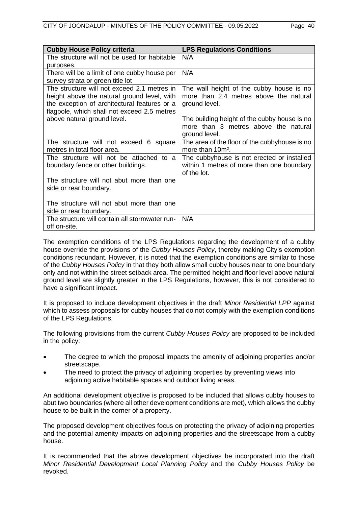| <b>Cubby House Policy criteria</b>             | <b>LPS Regulations Conditions</b>                        |
|------------------------------------------------|----------------------------------------------------------|
| The structure will not be used for habitable   | N/A                                                      |
| purposes.                                      |                                                          |
| There will be a limit of one cubby house per   | N/A                                                      |
| survey strata or green title lot               |                                                          |
| The structure will not exceed 2.1 metres in    | The wall height of the cubby house is no                 |
| height above the natural ground level, with    | more than 2.4 metres above the natural                   |
| the exception of architectural features or a   | ground level.                                            |
| flagpole, which shall not exceed 2.5 metres    |                                                          |
| above natural ground level.                    | The building height of the cubby house is no             |
|                                                | more than 3 metres above the natural                     |
|                                                | ground level.                                            |
| The structure will not exceed 6 square         | The area of the floor of the cubbyhouse is no            |
| metres in total floor area.                    | more than 10m <sup>2</sup> .                             |
| The structure will not be attached to a        | The cubbyhouse is not erected or installed               |
| boundary fence or other buildings.             | within 1 metres of more than one boundary<br>of the lot. |
|                                                |                                                          |
| The structure will not abut more than one      |                                                          |
| side or rear boundary.                         |                                                          |
| The structure will not abut more than one      |                                                          |
| side or rear boundary.                         |                                                          |
| The structure will contain all stormwater run- | N/A                                                      |
| off on-site.                                   |                                                          |
|                                                |                                                          |

The exemption conditions of the LPS Regulations regarding the development of a cubby house override the provisions of the *Cubby Houses Policy*, thereby making City's exemption conditions redundant. However, it is noted that the exemption conditions are similar to those of the *Cubby Houses Policy* in that they both allow small cubby houses near to one boundary only and not within the street setback area. The permitted height and floor level above natural ground level are slightly greater in the LPS Regulations, however, this is not considered to have a significant impact.

It is proposed to include development objectives in the draft *Minor Residential LPP* against which to assess proposals for cubby houses that do not comply with the exemption conditions of the LPS Regulations.

The following provisions from the current *Cubby Houses Policy* are proposed to be included in the policy:

- The degree to which the proposal impacts the amenity of adjoining properties and/or streetscape.
- The need to protect the privacy of adjoining properties by preventing views into adjoining active habitable spaces and outdoor living areas.

An additional development objective is proposed to be included that allows cubby houses to abut two boundaries (where all other development conditions are met), which allows the cubby house to be built in the corner of a property.

The proposed development objectives focus on protecting the privacy of adjoining properties and the potential amenity impacts on adjoining properties and the streetscape from a cubby house.

It is recommended that the above development objectives be incorporated into the draft *Minor Residential Development Local Planning Policy* and the *Cubby Houses Policy* be revoked.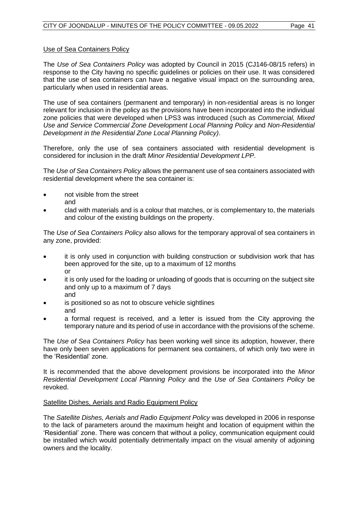### Use of Sea Containers Policy

The *Use of Sea Containers Policy* was adopted by Council in 2015 (CJ146-08/15 refers) in response to the City having no specific guidelines or policies on their use. It was considered that the use of sea containers can have a negative visual impact on the surrounding area, particularly when used in residential areas.

The use of sea containers (permanent and temporary) in non-residential areas is no longer relevant for inclusion in the policy as the provisions have been incorporated into the individual zone policies that were developed when LPS3 was introduced (such as *Commercial, Mixed Use and Service Commercial Zone Development Local Planning Policy* and *Non-Residential Development in the Residential Zone Local Planning Policy)*.

Therefore, only the use of sea containers associated with residential development is considered for inclusion in the draft *Minor Residential Development LPP*.

The *Use of Sea Containers Policy* allows the permanent use of sea containers associated with residential development where the sea container is:

- not visible from the street and
- clad with materials and is a colour that matches, or is complementary to, the materials and colour of the existing buildings on the property.

The *Use of Sea Containers Policy* also allows for the temporary approval of sea containers in any zone, provided:

- it is only used in conjunction with building construction or subdivision work that has been approved for the site, up to a maximum of 12 months or
- it is only used for the loading or unloading of goods that is occurring on the subject site and only up to a maximum of 7 days and
- is positioned so as not to obscure vehicle sightlines and
- a formal request is received, and a letter is issued from the City approving the temporary nature and its period of use in accordance with the provisions of the scheme.

The *Use of Sea Containers Policy* has been working well since its adoption, however, there have only been seven applications for permanent sea containers, of which only two were in the 'Residential' zone.

It is recommended that the above development provisions be incorporated into the *Minor Residential Development Local Planning Policy* and the *Use of Sea Containers Policy* be revoked.

### Satellite Dishes, Aerials and Radio Equipment Policy

The *Satellite Dishes, Aerials and Radio Equipment Policy* was developed in 2006 in response to the lack of parameters around the maximum height and location of equipment within the 'Residential' zone. There was concern that without a policy, communication equipment could be installed which would potentially detrimentally impact on the visual amenity of adjoining owners and the locality.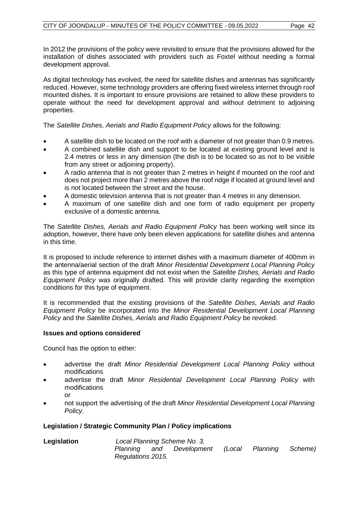In 2012 the provisions of the policy were revisited to ensure that the provisions allowed for the installation of dishes associated with providers such as Foxtel without needing a formal development approval.

As digital technology has evolved, the need for satellite dishes and antennas has significantly reduced. However, some technology providers are offering fixed wireless internet through roof mounted dishes. It is important to ensure provisions are retained to allow these providers to operate without the need for development approval and without detriment to adjoining properties.

The *Satellite Dishes, Aerials and Radio Equipment Policy* allows for the following:

- A satellite dish to be located on the roof with a diameter of not greater than 0.9 metres.
- A combined satellite dish and support to be located at existing ground level and is 2.4 metres or less in any dimension (the dish is to be located so as not to be visible from any street or adjoining property).
- A radio antenna that is not greater than 2 metres in height if mounted on the roof and does not project more than 2 metres above the roof ridge if located at ground level and is not located between the street and the house.
- A domestic television antenna that is not greater than 4 metres in any dimension.
- A maximum of one satellite dish and one form of radio equipment per property exclusive of a domestic antenna.

The *Satellite Dishes, Aerials and Radio Equipment Policy* has been working well since its adoption, however, there have only been eleven applications for satellite dishes and antenna in this time.

It is proposed to include reference to internet dishes with a maximum diameter of 400mm in the antenna/aerial section of the draft *Minor Residential Development Local Planning Policy* as this type of antenna equipment did not exist when the *Satellite Dishes, Aerials and Radio Equipment Policy* was originally drafted*.* This will provide clarity regarding the exemption conditions for this type of equipment.

It is recommended that the existing provisions of the *Satellite Dishes, Aerials and Radio Equipment Policy* be incorporated into the *Minor Residential Development Local Planning Policy* and the *Satellite Dishes, Aerials and Radio Equipment Policy* be revoked.

### **Issues and options considered**

Council has the option to either:

- advertise the draft *Minor Residential Development Local Planning Policy* without modifications
- advertise the draft *Minor Residential Development Local Planning Policy* with modifications or
- not support the advertising of the draft *Minor Residential Development Local Planning Policy.*

### **Legislation / Strategic Community Plan / Policy implications**

| Legislation | Local Planning Scheme No. 3. |     |             |        |          |         |
|-------------|------------------------------|-----|-------------|--------|----------|---------|
|             | Planning                     | and | Development | (Local | Planning | Scheme) |
|             | Regulations 2015.            |     |             |        |          |         |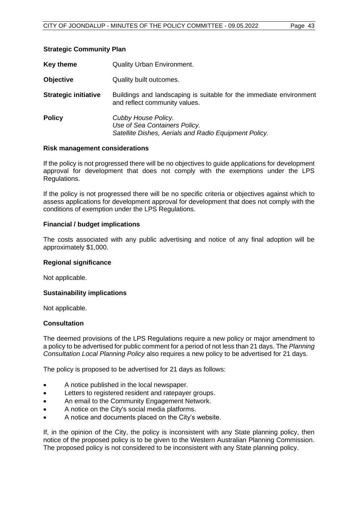### **Strategic Community Plan**

| Key theme                   | <b>Quality Urban Environment.</b>                                                                             |
|-----------------------------|---------------------------------------------------------------------------------------------------------------|
| <b>Objective</b>            | Quality built outcomes.                                                                                       |
| <b>Strategic initiative</b> | Buildings and landscaping is suitable for the immediate environment<br>and reflect community values.          |
| <b>Policy</b>               | Cubby House Policy.<br>Use of Sea Containers Policy.<br>Satellite Dishes, Aerials and Radio Equipment Policy. |

### **Risk management considerations**

If the policy is not progressed there will be no objectives to guide applications for development approval for development that does not comply with the exemptions under the LPS Regulations.

If the policy is not progressed there will be no specific criteria or objectives against which to assess applications for development approval for development that does not comply with the conditions of exemption under the LPS Regulations.

### **Financial / budget implications**

The costs associated with any public advertising and notice of any final adoption will be approximately \$1,000.

### **Regional significance**

Not applicable.

### **Sustainability implications**

Not applicable.

### **Consultation**

The deemed provisions of the LPS Regulations require a new policy or major amendment to a policy to be advertised for public comment for a period of not less than 21 days. The *Planning Consultation Local Planning Policy* also requires a new policy to be advertised for 21 days.

The policy is proposed to be advertised for 21 days as follows:

- A notice published in the local newspaper.
- Letters to registered resident and ratepayer groups.
- An email to the Community Engagement Network.
- A notice on the City's social media platforms.
- A notice and documents placed on the City's website.

If, in the opinion of the City, the policy is inconsistent with any State planning policy, then notice of the proposed policy is to be given to the Western Australian Planning Commission. The proposed policy is not considered to be inconsistent with any State planning policy.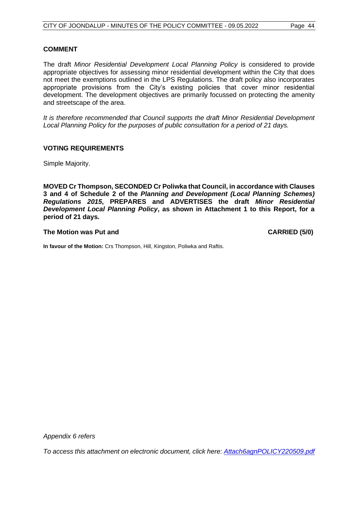### **COMMENT**

The draft *Minor Residential Development Local Planning Policy* is considered to provide appropriate objectives for assessing minor residential development within the City that does not meet the exemptions outlined in the LPS Regulations. The draft policy also incorporates appropriate provisions from the City's existing policies that cover minor residential development. The development objectives are primarily focussed on protecting the amenity and streetscape of the area.

*It is therefore recommended that Council supports the draft Minor Residential Development Local Planning Policy for the purposes of public consultation for a period of 21 days.*

### **VOTING REQUIREMENTS**

Simple Majority.

**MOVED Cr Thompson, SECONDED Cr Poliwka that Council, in accordance with Clauses 3 and 4 of Schedule 2 of the** *Planning and Development (Local Planning Schemes) Regulations 2015***, PREPARES and ADVERTISES the draft** *Minor Residential Development Local Planning Policy***, as shown in Attachment 1 to this Report, for a period of 21 days.**

### **The Motion was Put and CARRIED (5/0)**

**In favour of the Motion:** Crs Thompson, Hill, Kingston, Poliwka and Raftis.

*Appendix 6 refers*

*To access this attachment on electronic document, click h[ere: Attach6agnPOLICY220509.pdf](http://www.joondalup.wa.gov.au/files/committees/POLI/2022/Attach6agnPOLICY220509.pdf)*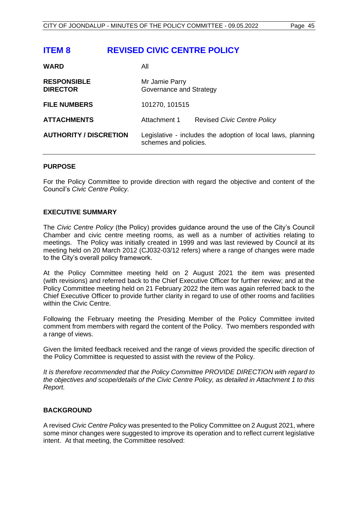# <span id="page-45-0"></span>**ITEM 8 REVISED CIVIC CENTRE POLICY**

| <b>WARD</b>                           | All                                                                                  |                                    |
|---------------------------------------|--------------------------------------------------------------------------------------|------------------------------------|
| <b>RESPONSIBLE</b><br><b>DIRECTOR</b> | Mr Jamie Parry<br>Governance and Strategy                                            |                                    |
| <b>FILE NUMBERS</b>                   | 101270, 101515                                                                       |                                    |
| <b>ATTACHMENTS</b>                    | Attachment 1                                                                         | <b>Revised Civic Centre Policy</b> |
| <b>AUTHORITY / DISCRETION</b>         | Legislative - includes the adoption of local laws, planning<br>schemes and policies. |                                    |

### **PURPOSE**

For the Policy Committee to provide direction with regard the objective and content of the Council's *Civic Centre Policy.*

### **EXECUTIVE SUMMARY**

The *Civic Centre Policy* (the Policy) provides guidance around the use of the City's Council Chamber and civic centre meeting rooms, as well as a number of activities relating to meetings. The Policy was initially created in 1999 and was last reviewed by Council at its meeting held on 20 March 2012 (CJ032-03/12 refers) where a range of changes were made to the City's overall policy framework.

At the Policy Committee meeting held on 2 August 2021 the item was presented (with revisions) and referred back to the Chief Executive Officer for further review; and at the Policy Committee meeting held on 21 February 2022 the item was again referred back to the Chief Executive Officer to provide further clarity in regard to use of other rooms and facilities within the Civic Centre.

Following the February meeting the Presiding Member of the Policy Committee invited comment from members with regard the content of the Policy. Two members responded with a range of views.

Given the limited feedback received and the range of views provided the specific direction of the Policy Committee is requested to assist with the review of the Policy.

*It is therefore recommended that the Policy Committee PROVIDE DIRECTION with regard to the objectives and scope/details of the Civic Centre Policy, as detailed in Attachment 1 to this Report.*

### **BACKGROUND**

A revised *Civic Centre Policy* was presented to the Policy Committee on 2 August 2021, where some minor changes were suggested to improve its operation and to reflect current legislative intent. At that meeting, the Committee resolved: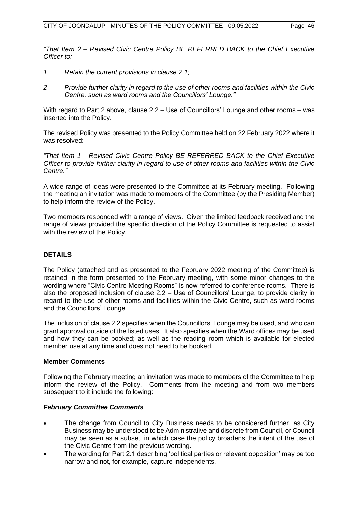*"That Item 2 – Revised Civic Centre Policy BE REFERRED BACK to the Chief Executive Officer to:*

- *1 Retain the current provisions in clause 2.1;*
- *2 Provide further clarity in regard to the use of other rooms and facilities within the Civic Centre, such as ward rooms and the Councillors' Lounge."*

With regard to Part 2 above, clause 2.2 – Use of Councillors' Lounge and other rooms – was inserted into the Policy.

The revised Policy was presented to the Policy Committee held on 22 February 2022 where it was resolved:

*"That Item 1 - Revised Civic Centre Policy BE REFERRED BACK to the Chief Executive Officer to provide further clarity in regard to use of other rooms and facilities within the Civic Centre."*

A wide range of ideas were presented to the Committee at its February meeting. Following the meeting an invitation was made to members of the Committee (by the Presiding Member) to help inform the review of the Policy.

Two members responded with a range of views. Given the limited feedback received and the range of views provided the specific direction of the Policy Committee is requested to assist with the review of the Policy.

### **DETAILS**

The Policy (attached and as presented to the February 2022 meeting of the Committee) is retained in the form presented to the February meeting, with some minor changes to the wording where "Civic Centre Meeting Rooms" is now referred to conference rooms. There is also the proposed inclusion of clause 2.2 – Use of Councillors' Lounge, to provide clarity in regard to the use of other rooms and facilities within the Civic Centre, such as ward rooms and the Councillors' Lounge.

The inclusion of clause 2.2 specifies when the Councillors' Lounge may be used, and who can grant approval outside of the listed uses. It also specifies when the Ward offices may be used and how they can be booked; as well as the reading room which is available for elected member use at any time and does not need to be booked.

### **Member Comments**

Following the February meeting an invitation was made to members of the Committee to help inform the review of the Policy. Comments from the meeting and from two members subsequent to it include the following:

### *February Committee Comments*

- The change from Council to City Business needs to be considered further, as City Business may be understood to be Administrative and discrete from Council, or Council may be seen as a subset, in which case the policy broadens the intent of the use of the Civic Centre from the previous wording.
- The wording for Part 2.1 describing 'political parties or relevant opposition' may be too narrow and not, for example, capture independents.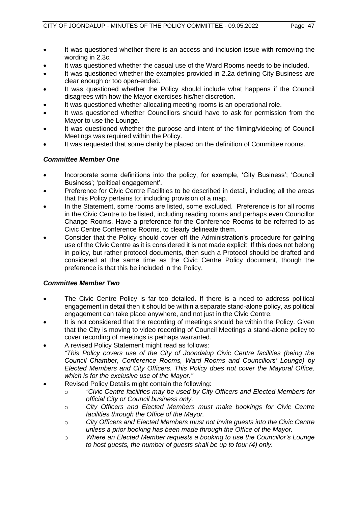- It was questioned whether there is an access and inclusion issue with removing the wording in 2.3c.
- It was questioned whether the casual use of the Ward Rooms needs to be included.
- It was questioned whether the examples provided in 2.2a defining City Business are clear enough or too open-ended.
- It was questioned whether the Policy should include what happens if the Council disagrees with how the Mayor exercises his/her discretion.
- It was questioned whether allocating meeting rooms is an operational role.
- It was questioned whether Councillors should have to ask for permission from the Mayor to use the Lounge.
- It was questioned whether the purpose and intent of the filming/videoing of Council Meetings was required within the Policy.
- It was requested that some clarity be placed on the definition of Committee rooms.

### *Committee Member One*

- Incorporate some definitions into the policy, for example, 'City Business'; 'Council Business'; 'political engagement'.
- Preference for Civic Centre Facilities to be described in detail, including all the areas that this Policy pertains to; including provision of a map.
- In the Statement, some rooms are listed, some excluded. Preference is for all rooms in the Civic Centre to be listed, including reading rooms and perhaps even Councillor Change Rooms. Have a preference for the Conference Rooms to be referred to as Civic Centre Conference Rooms, to clearly delineate them.
- Consider that the Policy should cover off the Administration's procedure for gaining use of the Civic Centre as it is considered it is not made explicit. If this does not belong in policy, but rather protocol documents, then such a Protocol should be drafted and considered at the same time as the Civic Centre Policy document, though the preference is that this be included in the Policy.

### *Committee Member Two*

- The Civic Centre Policy is far too detailed. If there is a need to address political engagement in detail then it should be within a separate stand-alone policy, as political engagement can take place anywhere, and not just in the Civic Centre.
- It is not considered that the recording of meetings should be within the Policy. Given that the City is moving to video recording of Council Meetings a stand-alone policy to cover recording of meetings is perhaps warranted.
- A revised Policy Statement might read as follows: *"This Policy covers use of the City of Joondalup Civic Centre facilities (being the Council Chamber, Conference Rooms, Ward Rooms and Councillors' Lounge) by Elected Members and City Officers. This Policy does not cover the Mayoral Office, which is for the exclusive use of the Mayor."*
- Revised Policy Details might contain the following:
	- o *"Civic Centre facilities may be used by City Officers and Elected Members for official City or Council business only.*
	- o *City Officers and Elected Members must make bookings for Civic Centre facilities through the Office of the Mayor.*
	- o *City Officers and Elected Members must not invite guests into the Civic Centre unless a prior booking has been made through the Office of the Mayor.*
	- o *Where an Elected Member requests a booking to use the Councillor's Lounge to host guests, the number of guests shall be up to four (4) only.*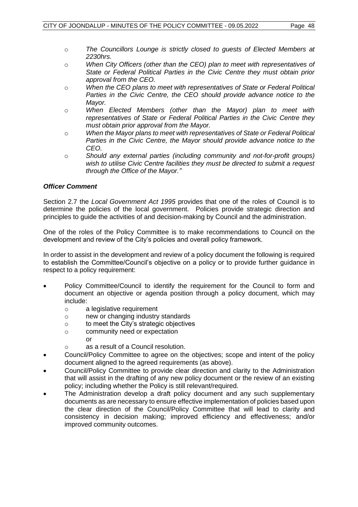- o *The Councillors Lounge is strictly closed to guests of Elected Members at 2230hrs.*
- o *When City Officers (other than the CEO) plan to meet with representatives of State or Federal Political Parties in the Civic Centre they must obtain prior approval from the CEO.*
- o *When the CEO plans to meet with representatives of State or Federal Political Parties in the Civic Centre, the CEO should provide advance notice to the Mayor.*
- o *When Elected Members (other than the Mayor) plan to meet with representatives of State or Federal Political Parties in the Civic Centre they must obtain prior approval from the Mayor.*
- o *When the Mayor plans to meet with representatives of State or Federal Political Parties in the Civic Centre, the Mayor should provide advance notice to the CEO.*
- o *Should any external parties (including community and not-for-profit groups) wish to utilise Civic Centre facilities they must be directed to submit a request through the Office of the Mayor."*

### *Officer Comment*

Section 2.7 the *Local Government Act 1995* provides that one of the roles of Council is to determine the policies of the local government. Policies provide strategic direction and principles to guide the activities of and decision-making by Council and the administration.

One of the roles of the Policy Committee is to make recommendations to Council on the development and review of the City's policies and overall policy framework.

In order to assist in the development and review of a policy document the following is required to establish the Committee/Council's objective on a policy or to provide further guidance in respect to a policy requirement:

- Policy Committee/Council to identify the requirement for the Council to form and document an objective or agenda position through a policy document, which may include:
	- o a legislative requirement
	- o new or changing industry standards
	- o to meet the City's strategic objectives
	- o community need or expectation

or

- o as a result of a Council resolution.
- Council/Policy Committee to agree on the objectives; scope and intent of the policy document aligned to the agreed requirements (as above).
- Council/Policy Committee to provide clear direction and clarity to the Administration that will assist in the drafting of any new policy document or the review of an existing policy; including whether the Policy is still relevant/required.
- The Administration develop a draft policy document and any such supplementary documents as are necessary to ensure effective implementation of policies based upon the clear direction of the Council/Policy Committee that will lead to clarity and consistency in decision making; improved efficiency and effectiveness; and/or improved community outcomes.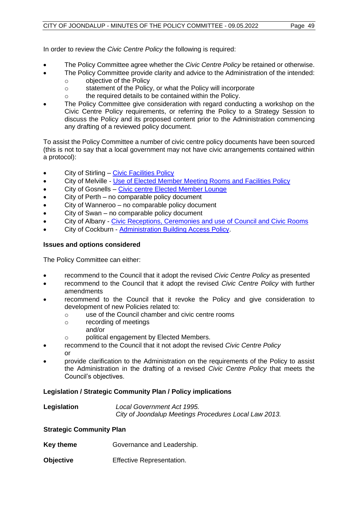In order to review the *Civic Centre Policy* the following is required:

- The Policy Committee agree whether the *Civic Centre Policy* be retained or otherwise.
	- The Policy Committee provide clarity and advice to the Administration of the intended: o objective of the Policy
		- o statement of the Policy, or what the Policy will incorporate
		- o the required details to be contained within the Policy.
- The Policy Committee give consideration with regard conducting a workshop on the Civic Centre Policy requirements, or referring the Policy to a Strategy Session to discuss the Policy and its proposed content prior to the Administration commencing any drafting of a reviewed policy document.

To assist the Policy Committee a number of civic centre policy documents have been sourced (this is not to say that a local government may not have civic arrangements contained within a protocol):

- City of Stirling [Civic Facilities Policy](https://www.stirling.wa.gov.au/your-city/documents-and-publications/your-city/about-council/governance-and-transparency/policies/civic-facilities-policy)
- City of Melville [Use of Elected Member Meeting Rooms and Facilities Policy](https://www.melvillecity.com.au/our-city/publications-and-forms/?keyword=civic&type=Operational-Policies,Council-Policies&sort=date-desc&page=1)
- City of Gosnells [Civic centre Elected Member Lounge](file:///C:/Users/JamieP/Downloads/ECM_1377887_v11_Council%20Policy%205%204%203%20-%20Civic%20Centre%20Elected%20Member%20Lounge.pdf)
- City of Perth no comparable policy document
- City of Wanneroo no comparable policy document
- City of Swan no comparable policy document
- City of Albany [Civic Receptions, Ceremonies and use of Council and Civic Rooms](https://www.albany.wa.gov.au/documents/412/civic-receptions-ceremonies-and-use-of-council-and-civic-rooms-policy-and-guideline)
- City of Cockburn [Administration Building Access Policy.](https://www.cockburn.wa.gov.au/getattachment/e84a0479-4ed0-4d54-9be7-23e1e41455a4/ECM_4133966_v6_Administration-Building-Access-Policy-docx.aspx)

### **Issues and options considered**

The Policy Committee can either:

- recommend to the Council that it adopt the revised *Civic Centre Policy* as presented
- recommend to the Council that it adopt the revised *Civic Centre Policy* with further amendments
- recommend to the Council that it revoke the Policy and give consideration to development of new Policies related to:
	- o use of the Council chamber and civic centre rooms
	- o recording of meetings
		- and/or
	- o political engagement by Elected Members.
- recommend to the Council that it not adopt the revised *Civic Centre Policy* or
- provide clarification to the Administration on the requirements of the Policy to assist the Administration in the drafting of a revised *Civic Centre Policy* that meets the Council's objectives.

### **Legislation / Strategic Community Plan / Policy implications**

| Legislation | Local Government Act 1995.                            |
|-------------|-------------------------------------------------------|
|             | City of Joondalup Meetings Procedures Local Law 2013. |

### **Strategic Community Plan**

- **Key theme Governance and Leadership.**
- **Objective** Effective Representation.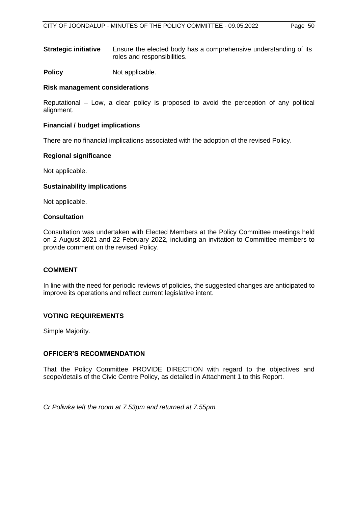**Strategic initiative** Ensure the elected body has a comprehensive understanding of its roles and responsibilities.

**Policy** Not applicable.

### **Risk management considerations**

Reputational – Low, a clear policy is proposed to avoid the perception of any political alignment.

### **Financial / budget implications**

There are no financial implications associated with the adoption of the revised Policy.

### **Regional significance**

Not applicable.

### **Sustainability implications**

Not applicable.

### **Consultation**

Consultation was undertaken with Elected Members at the Policy Committee meetings held on 2 August 2021 and 22 February 2022, including an invitation to Committee members to provide comment on the revised Policy.

### **COMMENT**

In line with the need for periodic reviews of policies, the suggested changes are anticipated to improve its operations and reflect current legislative intent.

### **VOTING REQUIREMENTS**

Simple Majority.

### **OFFICER'S RECOMMENDATION**

That the Policy Committee PROVIDE DIRECTION with regard to the objectives and scope/details of the Civic Centre Policy, as detailed in Attachment 1 to this Report.

*Cr Poliwka left the room at 7.53pm and returned at 7.55pm.*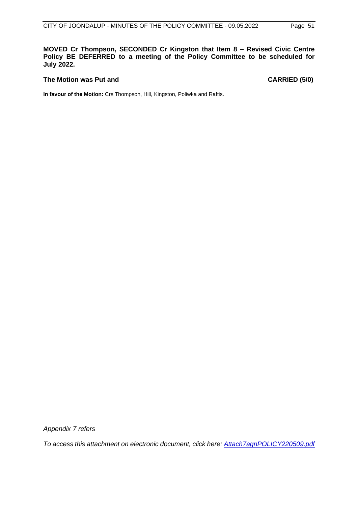**MOVED Cr Thompson, SECONDED Cr Kingston that Item 8 – Revised Civic Centre Policy BE DEFERRED to a meeting of the Policy Committee to be scheduled for July 2022.**

### **The Motion was Put and CARRIED (5/0)**

**In favour of the Motion:** Crs Thompson, Hill, Kingston, Poliwka and Raftis.

*Appendix 7 refers*

*To access this attachment on electronic document, click here[: Attach7agnPOLICY220509.pdf](http://www.joondalup.wa.gov.au/files/committees/POLI/2022/Attach7agnPOLICY220509.pdf)*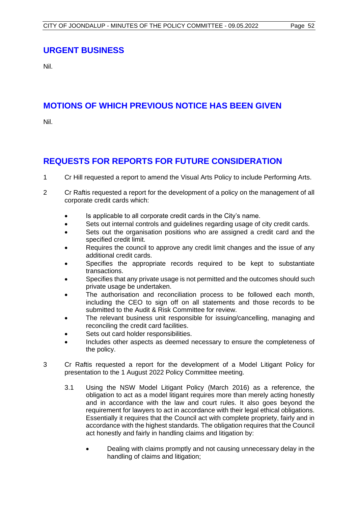# <span id="page-52-0"></span>**URGENT BUSINESS**

Nil.

# <span id="page-52-1"></span>**MOTIONS OF WHICH PREVIOUS NOTICE HAS BEEN GIVEN**

Nil.

# <span id="page-52-2"></span>**REQUESTS FOR REPORTS FOR FUTURE CONSIDERATION**

- 1 Cr Hill requested a report to amend the Visual Arts Policy to include Performing Arts.
- 2 Cr Raftis requested a report for the development of a policy on the management of all corporate credit cards which:
	- Is applicable to all corporate credit cards in the City's name.
	- Sets out internal controls and guidelines regarding usage of city credit cards.
	- Sets out the organisation positions who are assigned a credit card and the specified credit limit.
	- Requires the council to approve any credit limit changes and the issue of any additional credit cards.
	- Specifies the appropriate records required to be kept to substantiate transactions.
	- Specifies that any private usage is not permitted and the outcomes should such private usage be undertaken.
	- The authorisation and reconciliation process to be followed each month, including the CEO to sign off on all statements and those records to be submitted to the Audit & Risk Committee for review.
	- The relevant business unit responsible for issuing/cancelling, managing and reconciling the credit card facilities.
	- Sets out card holder responsibilities.
	- Includes other aspects as deemed necessary to ensure the completeness of the policy.
- 3 Cr Raftis requested a report for the development of a Model Litigant Policy for presentation to the 1 August 2022 Policy Committee meeting.
	- 3.1 Using the NSW Model Litigant Policy (March 2016) as a reference, the obligation to act as a model litigant requires more than merely acting honestly and in accordance with the law and court rules. It also goes beyond the requirement for lawyers to act in accordance with their legal ethical obligations. Essentially it requires that the Council act with complete propriety, fairly and in accordance with the highest standards. The obligation requires that the Council act honestly and fairly in handling claims and litigation by:
		- Dealing with claims promptly and not causing unnecessary delay in the handling of claims and litigation;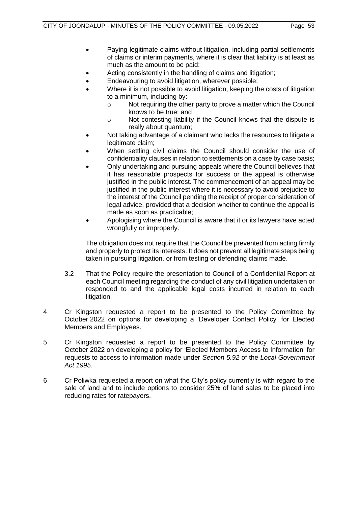- Paying legitimate claims without litigation, including partial settlements of claims or interim payments, where it is clear that liability is at least as much as the amount to be paid;
- Acting consistently in the handling of claims and litigation;
- Endeavouring to avoid litigation, wherever possible;
- Where it is not possible to avoid litigation, keeping the costs of litigation to a minimum, including by:
	- o Not requiring the other party to prove a matter which the Council knows to be true; and
	- o Not contesting liability if the Council knows that the dispute is really about quantum;
- Not taking advantage of a claimant who lacks the resources to litigate a legitimate claim;
- When settling civil claims the Council should consider the use of confidentiality clauses in relation to settlements on a case by case basis;
- Only undertaking and pursuing appeals where the Council believes that it has reasonable prospects for success or the appeal is otherwise justified in the public interest. The commencement of an appeal may be justified in the public interest where it is necessary to avoid prejudice to the interest of the Council pending the receipt of proper consideration of legal advice, provided that a decision whether to continue the appeal is made as soon as practicable;
- Apologising where the Council is aware that it or its lawyers have acted wrongfully or improperly.

The obligation does not require that the Council be prevented from acting firmly and properly to protect its interests. It does not prevent all legitimate steps being taken in pursuing litigation, or from testing or defending claims made.

- 3.2 That the Policy require the presentation to Council of a Confidential Report at each Council meeting regarding the conduct of any civil litigation undertaken or responded to and the applicable legal costs incurred in relation to each litigation.
- 4 Cr Kingston requested a report to be presented to the Policy Committee by October 2022 on options for developing a 'Developer Contact Policy' for Elected Members and Employees.
- 5 Cr Kingston requested a report to be presented to the Policy Committee by October 2022 on developing a policy for 'Elected Members Access to Information' for requests to access to information made under *Section 5.92* of the *Local Government Act 1995*.
- 6 Cr Poliwka requested a report on what the City's policy currently is with regard to the sale of land and to include options to consider 25% of land sales to be placed into reducing rates for ratepayers.